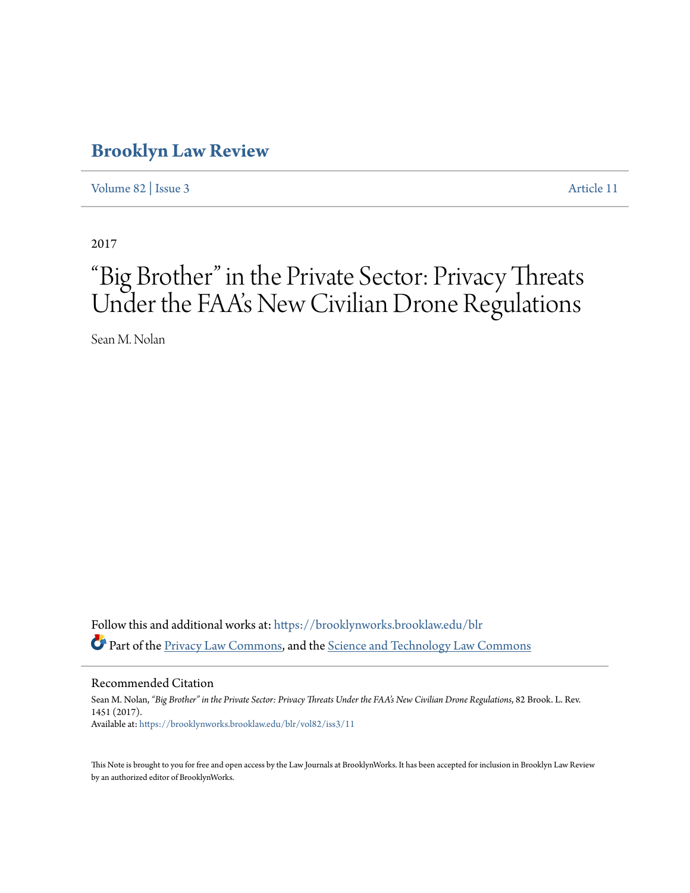# **[Brooklyn Law Review](https://brooklynworks.brooklaw.edu/blr?utm_source=brooklynworks.brooklaw.edu%2Fblr%2Fvol82%2Fiss3%2F11&utm_medium=PDF&utm_campaign=PDFCoverPages)**

[Volume 82](https://brooklynworks.brooklaw.edu/blr/vol82?utm_source=brooklynworks.brooklaw.edu%2Fblr%2Fvol82%2Fiss3%2F11&utm_medium=PDF&utm_campaign=PDFCoverPages) | [Issue 3](https://brooklynworks.brooklaw.edu/blr/vol82/iss3?utm_source=brooklynworks.brooklaw.edu%2Fblr%2Fvol82%2Fiss3%2F11&utm_medium=PDF&utm_campaign=PDFCoverPages) [Article 11](https://brooklynworks.brooklaw.edu/blr/vol82/iss3/11?utm_source=brooklynworks.brooklaw.edu%2Fblr%2Fvol82%2Fiss3%2F11&utm_medium=PDF&utm_campaign=PDFCoverPages)

2017

# "Big Brother" in the Private Sector: Privacy Threats Under the FAA's New Civilian Drone Regulations

Sean M. Nolan

Follow this and additional works at: [https://brooklynworks.brooklaw.edu/blr](https://brooklynworks.brooklaw.edu/blr?utm_source=brooklynworks.brooklaw.edu%2Fblr%2Fvol82%2Fiss3%2F11&utm_medium=PDF&utm_campaign=PDFCoverPages) Part of the [Privacy Law Commons](http://network.bepress.com/hgg/discipline/1234?utm_source=brooklynworks.brooklaw.edu%2Fblr%2Fvol82%2Fiss3%2F11&utm_medium=PDF&utm_campaign=PDFCoverPages), and the [Science and Technology Law Commons](http://network.bepress.com/hgg/discipline/875?utm_source=brooklynworks.brooklaw.edu%2Fblr%2Fvol82%2Fiss3%2F11&utm_medium=PDF&utm_campaign=PDFCoverPages)

Recommended Citation

Sean M. Nolan, *"Big Brother" in the Private Sector: Privacy Threats Under the FAA's New Civilian Drone Regulations*, 82 Brook. L. Rev. 1451 (2017). Available at: [https://brooklynworks.brooklaw.edu/blr/vol82/iss3/11](https://brooklynworks.brooklaw.edu/blr/vol82/iss3/11?utm_source=brooklynworks.brooklaw.edu%2Fblr%2Fvol82%2Fiss3%2F11&utm_medium=PDF&utm_campaign=PDFCoverPages)

This Note is brought to you for free and open access by the Law Journals at BrooklynWorks. It has been accepted for inclusion in Brooklyn Law Review by an authorized editor of BrooklynWorks.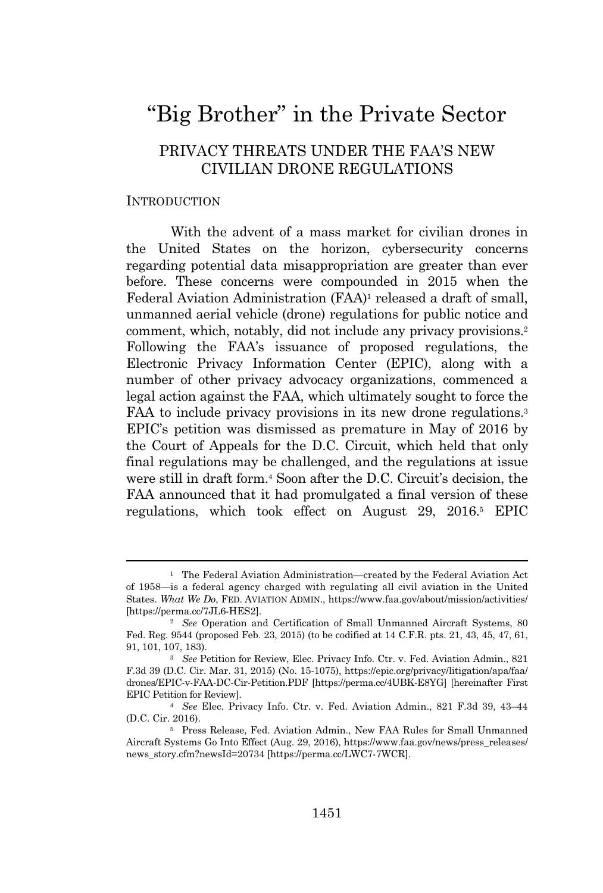# "Big Brother" in the Private Sector

# PRIVACY THREATS UNDER THE FAA'S NEW CIVILIAN DRONE REGULATIONS

#### INTRODUCTION

With the advent of a mass market for civilian drones in the United States on the horizon, cybersecurity concerns regarding potential data misappropriation are greater than ever before. These concerns were compounded in 2015 when the Federal Aviation Administration (FAA)<sup>1</sup> released a draft of small, unmanned aerial vehicle (drone) regulations for public notice and comment, which, notably, did not include any privacy provisions.<sup>2</sup> Following the FAA's issuance of proposed regulations, the Electronic Privacy Information Center (EPIC), along with a number of other privacy advocacy organizations, commenced a legal action against the FAA, which ultimately sought to force the FAA to include privacy provisions in its new drone regulations.<sup>3</sup> EPIC's petition was dismissed as premature in May of 2016 by the Court of Appeals for the D.C. Circuit, which held that only final regulations may be challenged, and the regulations at issue were still in draft form.<sup>4</sup> Soon after the D.C. Circuit's decision, the FAA announced that it had promulgated a final version of these regulations, which took effect on August 29, 2016.<sup>5</sup> EPIC

<sup>1</sup> The Federal Aviation Administration—created by the Federal Aviation Act of 1958—is a federal agency charged with regulating all civil aviation in the United States. *What We Do*, FED. AVIATION ADMIN., https://www.faa.gov/about/mission/activities/ [https://perma.cc/7JL6-HES2].

<sup>&</sup>lt;sup>2</sup> *See* Operation and Certification of Small Unmanned Aircraft Systems, 80 Fed. Reg. 9544 (proposed Feb. 23, 2015) (to be codified at 14 C.F.R. pts. 21, 43, 45, 47, 61, 91, 101, 107, 183).

<sup>&</sup>lt;sup>3</sup> See Petition for Review, Elec. Privacy Info. Ctr. v. Fed. Aviation Admin., 821 F.3d 39 (D.C. Cir. Mar. 31, 2015) (No. 15-1075), https://epic.org/privacy/litigation/apa/faa/ drones/EPIC-v-FAA-DC-Cir-Petition.PDF [https://perma.cc/4UBK-E8YG] [hereinafter First EPIC Petition for Review].

<sup>4</sup> *See* Elec. Privacy Info. Ctr. v. Fed. Aviation Admin., 821 F.3d 39, 43–44 (D.C. Cir. 2016).

<sup>5</sup> Press Release, Fed. Aviation Admin., New FAA Rules for Small Unmanned Aircraft Systems Go Into Effect (Aug. 29, 2016), https://www.faa.gov/news/press\_releases/ news\_story.cfm?newsId=20734 [https://perma.cc/LWC7-7WCR].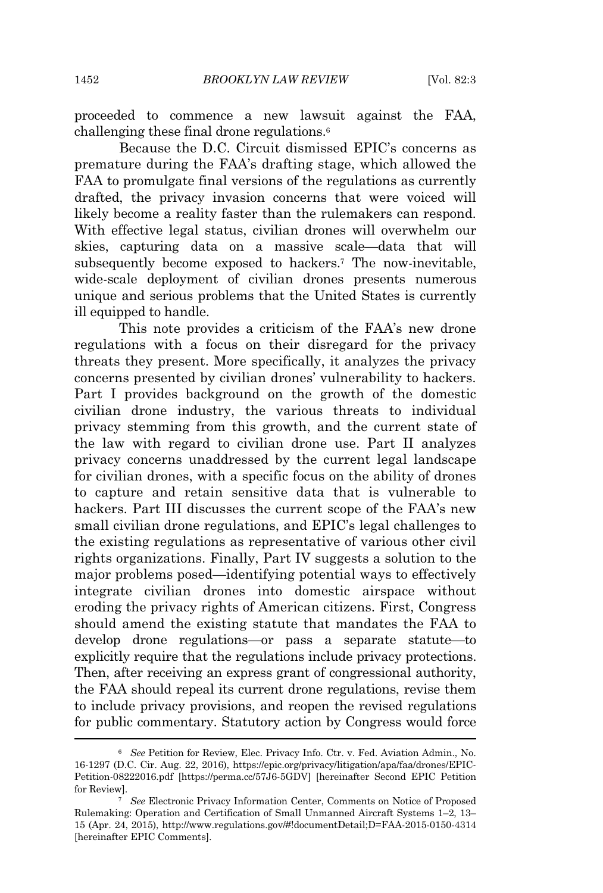proceeded to commence a new lawsuit against the FAA, challenging these final drone regulations.<sup>6</sup>

Because the D.C. Circuit dismissed EPIC's concerns as premature during the FAA's drafting stage, which allowed the FAA to promulgate final versions of the regulations as currently drafted, the privacy invasion concerns that were voiced will likely become a reality faster than the rulemakers can respond. With effective legal status, civilian drones will overwhelm our skies, capturing data on a massive scale—data that will subsequently become exposed to hackers.<sup>7</sup> The now-inevitable, wide-scale deployment of civilian drones presents numerous unique and serious problems that the United States is currently ill equipped to handle.

This note provides a criticism of the FAA's new drone regulations with a focus on their disregard for the privacy threats they present. More specifically, it analyzes the privacy concerns presented by civilian drones' vulnerability to hackers. Part I provides background on the growth of the domestic civilian drone industry, the various threats to individual privacy stemming from this growth, and the current state of the law with regard to civilian drone use. Part II analyzes privacy concerns unaddressed by the current legal landscape for civilian drones, with a specific focus on the ability of drones to capture and retain sensitive data that is vulnerable to hackers. Part III discusses the current scope of the FAA's new small civilian drone regulations, and EPIC's legal challenges to the existing regulations as representative of various other civil rights organizations. Finally, Part IV suggests a solution to the major problems posed—identifying potential ways to effectively integrate civilian drones into domestic airspace without eroding the privacy rights of American citizens. First, Congress should amend the existing statute that mandates the FAA to develop drone regulations—or pass a separate statute—to explicitly require that the regulations include privacy protections. Then, after receiving an express grant of congressional authority, the FAA should repeal its current drone regulations, revise them to include privacy provisions, and reopen the revised regulations for public commentary. Statutory action by Congress would force

<sup>6</sup> *See* Petition for Review, Elec. Privacy Info. Ctr. v. Fed. Aviation Admin., No. 16-1297 (D.C. Cir. Aug. 22, 2016), https://epic.org/privacy/litigation/apa/faa/drones/EPIC-Petition-08222016.pdf [https://perma.cc/57J6-5GDV] [hereinafter Second EPIC Petition for Review].

<sup>7</sup> *See* Electronic Privacy Information Center, Comments on Notice of Proposed Rulemaking: Operation and Certification of Small Unmanned Aircraft Systems 1–2, 13– 15 (Apr. 24, 2015), http://www.regulations.gov/#!documentDetail;D=FAA-2015-0150-4314 [hereinafter EPIC Comments].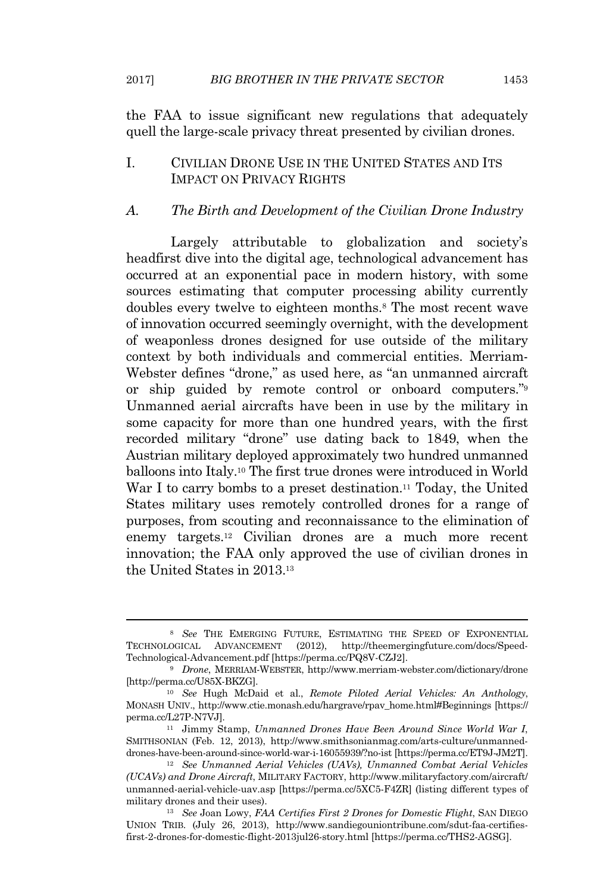the FAA to issue significant new regulations that adequately quell the large-scale privacy threat presented by civilian drones.

# I. CIVILIAN DRONE USE IN THE UNITED STATES AND ITS IMPACT ON PRIVACY RIGHTS

# *A. The Birth and Development of the Civilian Drone Industry*

Largely attributable to globalization and society's headfirst dive into the digital age, technological advancement has occurred at an exponential pace in modern history, with some sources estimating that computer processing ability currently doubles every twelve to eighteen months.<sup>8</sup> The most recent wave of innovation occurred seemingly overnight, with the development of weaponless drones designed for use outside of the military context by both individuals and commercial entities. Merriam-Webster defines "drone," as used here, as "an unmanned aircraft or ship guided by remote control or onboard computers."<sup>9</sup> Unmanned aerial aircrafts have been in use by the military in some capacity for more than one hundred years, with the first recorded military "drone" use dating back to 1849, when the Austrian military deployed approximately two hundred unmanned balloons into Italy.<sup>10</sup> The first true drones were introduced in World War I to carry bombs to a preset destination.<sup>11</sup> Today, the United States military uses remotely controlled drones for a range of purposes, from scouting and reconnaissance to the elimination of enemy targets.<sup>12</sup> Civilian drones are a much more recent innovation; the FAA only approved the use of civilian drones in the United States in 2013.<sup>13</sup>

<sup>8</sup> *See* THE EMERGING FUTURE, ESTIMATING THE SPEED OF EXPONENTIAL TECHNOLOGICAL ADVANCEMENT (2012), http://theemergingfuture.com/docs/Speed-Technological-Advancement.pdf [https://perma.cc/PQ8V-CZJ2].

<sup>9</sup> *Drone*, MERRIAM-WEBSTER, http://www.merriam-webster.com/dictionary/drone [http://perma.cc/U85X-BKZG].

<sup>10</sup> *See* Hugh McDaid et al., *Remote Piloted Aerial Vehicles: An Anthology*, MONASH UNIV., http://www.ctie.monash.edu/hargrave/rpav\_home.html#Beginnings [https:// perma.cc/L27P-N7VJ].

<sup>11</sup> Jimmy Stamp, *Unmanned Drones Have Been Around Since World War I*, SMITHSONIAN (Feb. 12, 2013), http://www.smithsonianmag.com/arts-culture/unmanneddrones-have-been-around-since-world-war-i-16055939/?no-ist [https://perma.cc/ET9J-JM2T].

<sup>12</sup> *See Unmanned Aerial Vehicles (UAVs), Unmanned Combat Aerial Vehicles (UCAVs) and Drone Aircraft*, MILITARY FACTORY, http://www.militaryfactory.com/aircraft/ unmanned-aerial-vehicle-uav.asp [https://perma.cc/5XC5-F4ZR] (listing different types of military drones and their uses).

<sup>13</sup> *See* Joan Lowy, *FAA Certifies First 2 Drones for Domestic Flight*, SAN DIEGO UNION TRIB. (July 26, 2013), http://www.sandiegouniontribune.com/sdut-faa-certifiesfirst-2-drones-for-domestic-flight-2013jul26-story.html [https://perma.cc/THS2-AGSG].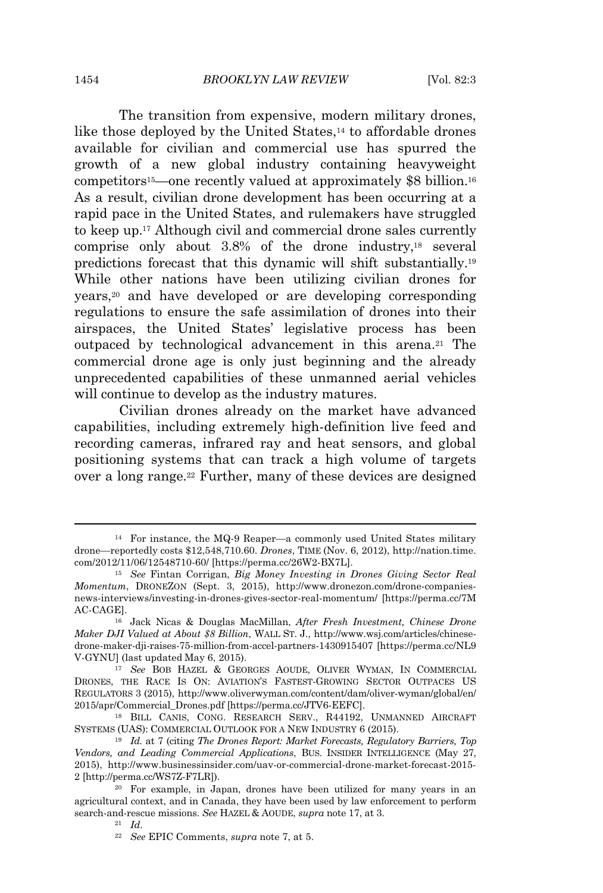The transition from expensive, modern military drones, like those deployed by the United States,<sup>14</sup> to affordable drones available for civilian and commercial use has spurred the growth of a new global industry containing heavyweight competitors15—one recently valued at approximately \$8 billion.<sup>16</sup> As a result, civilian drone development has been occurring at a rapid pace in the United States, and rulemakers have struggled to keep up.<sup>17</sup> Although civil and commercial drone sales currently comprise only about  $3.8\%$  of the drone industry,<sup>18</sup> several predictions forecast that this dynamic will shift substantially.<sup>19</sup> While other nations have been utilizing civilian drones for years,<sup>20</sup> and have developed or are developing corresponding regulations to ensure the safe assimilation of drones into their airspaces, the United States' legislative process has been outpaced by technological advancement in this arena.<sup>21</sup> The commercial drone age is only just beginning and the already unprecedented capabilities of these unmanned aerial vehicles will continue to develop as the industry matures.

Civilian drones already on the market have advanced capabilities, including extremely high-definition live feed and recording cameras, infrared ray and heat sensors, and global positioning systems that can track a high volume of targets over a long range.<sup>22</sup> Further, many of these devices are designed

<sup>14</sup> For instance, the MQ-9 Reaper—a commonly used United States military drone—reportedly costs \$12,548,710.60. *Drones*, TIME (Nov. 6, 2012), http://nation.time. com/2012/11/06/12548710-60/ [https://perma.cc/26W2-BX7L].

<sup>15</sup> *See* Fintan Corrigan, *Big Money Investing in Drones Giving Sector Real Momentum*, DRONEZON (Sept. 3, 2015), http://www.dronezon.com/drone-companiesnews-interviews/investing-in-drones-gives-sector-real-momentum/ [https://perma.cc/7M AC-CAGE].

<sup>16</sup> Jack Nicas & Douglas MacMillan, *After Fresh Investment, Chinese Drone Maker DJI Valued at About \$8 Billion*, WALL ST. J., http://www.wsj.com/articles/chinesedrone-maker-dji-raises-75-million-from-accel-partners-1430915407 [https://perma.cc/NL9 V-GYNU] (last updated May 6, 2015).

<sup>17</sup> *See* BOB HAZEL & GEORGES AOUDE, OLIVER WYMAN, IN COMMERCIAL DRONES, THE RACE IS ON: AVIATION'S FASTEST-GROWING SECTOR OUTPACES US REGULATORS 3 (2015), http://www.oliverwyman.com/content/dam/oliver-wyman/global/en/ 2015/apr/Commercial\_Drones.pdf [https://perma.cc/JTV6-EEFC].

<sup>18</sup> BILL CANIS, CONG. RESEARCH SERV., R44192, UNMANNED AIRCRAFT SYSTEMS (UAS): COMMERCIAL OUTLOOK FOR A NEW INDUSTRY 6 (2015).

<sup>19</sup> *Id.* at 7 (citing *The Drones Report: Market Forecasts, Regulatory Barriers, Top Vendors, and Leading Commercial Applications*, BUS. INSIDER INTELLIGENCE (May 27, 2015), http://www.businessinsider.com/uav-or-commercial-drone-market-forecast-2015- 2 [http://perma.cc/WS7Z-F7LR]).

<sup>20</sup> For example, in Japan, drones have been utilized for many years in an agricultural context, and in Canada, they have been used by law enforcement to perform search-and-rescue missions. *See* HAZEL & AOUDE, *supra* note 17, at 3.

<sup>21</sup> *Id.*

<sup>22</sup> *See* EPIC Comments, *supra* note 7, at 5.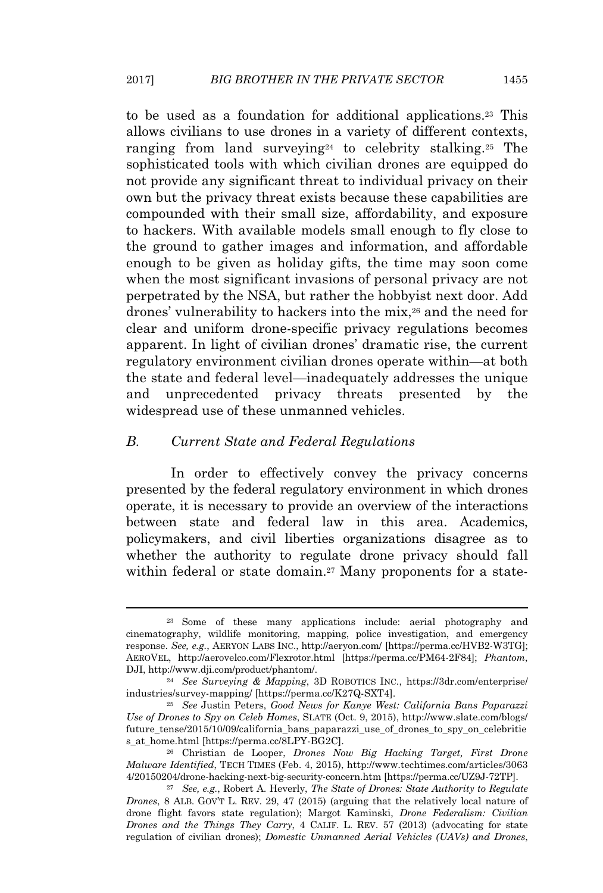to be used as a foundation for additional applications.<sup>23</sup> This allows civilians to use drones in a variety of different contexts, ranging from land surveying<sup>24</sup> to celebrity stalking.<sup>25</sup> The sophisticated tools with which civilian drones are equipped do not provide any significant threat to individual privacy on their own but the privacy threat exists because these capabilities are compounded with their small size, affordability, and exposure to hackers. With available models small enough to fly close to the ground to gather images and information, and affordable enough to be given as holiday gifts, the time may soon come when the most significant invasions of personal privacy are not perpetrated by the NSA, but rather the hobbyist next door. Add drones' vulnerability to hackers into the mix,<sup>26</sup> and the need for clear and uniform drone-specific privacy regulations becomes apparent. In light of civilian drones' dramatic rise, the current regulatory environment civilian drones operate within—at both the state and federal level—inadequately addresses the unique and unprecedented privacy threats presented by the widespread use of these unmanned vehicles.

# *B. Current State and Federal Regulations*

In order to effectively convey the privacy concerns presented by the federal regulatory environment in which drones operate, it is necessary to provide an overview of the interactions between state and federal law in this area. Academics, policymakers, and civil liberties organizations disagree as to whether the authority to regulate drone privacy should fall within federal or state domain.<sup>27</sup> Many proponents for a state-

<sup>&</sup>lt;sup>23</sup> Some of these many applications include: aerial photography and cinematography, wildlife monitoring, mapping, police investigation, and emergency response. *See, e.g.*, AERYON LABS INC., http://aeryon.com/ [https://perma.cc/HVB2-W3TG]; AEROVEL, http://aerovelco.com/Flexrotor.html [https://perma.cc/PM64-2F84]; *Phantom*, DJI, http://www.dji.com/product/phantom/.

<sup>24</sup> *See Surveying & Mapping*, 3D ROBOTICS INC., https://3dr.com/enterprise/ industries/survey-mapping/ [https://perma.cc/K27Q-SXT4].

<sup>25</sup> *See* Justin Peters, *Good News for Kanye West: California Bans Paparazzi Use of Drones to Spy on Celeb Homes*, SLATE (Oct. 9, 2015), http://www.slate.com/blogs/ future\_tense/2015/10/09/california\_bans\_paparazzi\_use\_of\_drones\_to\_spy\_on\_celebritie s\_at\_home.html [https://perma.cc/8LPY-BG2C].

<sup>26</sup> Christian de Looper, *Drones Now Big Hacking Target, First Drone Malware Identified*, TECH TIMES (Feb. 4, 2015), http://www.techtimes.com/articles/3063 4/20150204/drone-hacking-next-big-security-concern.htm [https://perma.cc/UZ9J-72TP].

<sup>27</sup> *See, e.g.*, Robert A. Heverly, *The State of Drones: State Authority to Regulate Drones*, 8 ALB. GOV'T L. REV. 29, 47 (2015) (arguing that the relatively local nature of drone flight favors state regulation); Margot Kaminski, *Drone Federalism: Civilian Drones and the Things They Carry*, 4 CALIF. L. REV. 57 (2013) (advocating for state regulation of civilian drones); *Domestic Unmanned Aerial Vehicles (UAVs) and Drones*,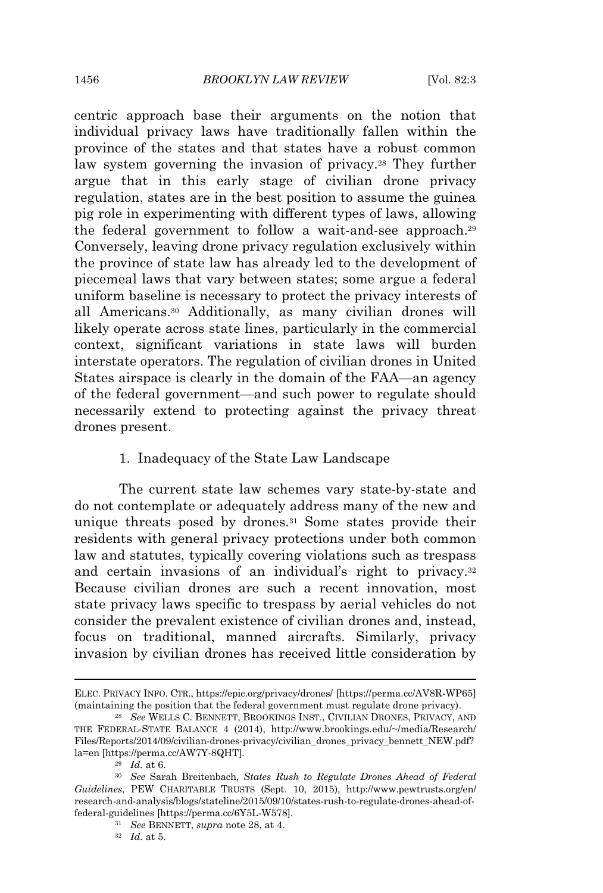centric approach base their arguments on the notion that individual privacy laws have traditionally fallen within the province of the states and that states have a robust common law system governing the invasion of privacy.<sup>28</sup> They further argue that in this early stage of civilian drone privacy regulation, states are in the best position to assume the guinea pig role in experimenting with different types of laws, allowing the federal government to follow a wait-and-see approach.<sup>29</sup> Conversely, leaving drone privacy regulation exclusively within the province of state law has already led to the development of piecemeal laws that vary between states; some argue a federal uniform baseline is necessary to protect the privacy interests of all Americans.<sup>30</sup> Additionally, as many civilian drones will likely operate across state lines, particularly in the commercial context, significant variations in state laws will burden interstate operators. The regulation of civilian drones in United States airspace is clearly in the domain of the FAA—an agency of the federal government—and such power to regulate should necessarily extend to protecting against the privacy threat drones present.

# 1. Inadequacy of the State Law Landscape

The current state law schemes vary state-by-state and do not contemplate or adequately address many of the new and unique threats posed by drones.<sup>31</sup> Some states provide their residents with general privacy protections under both common law and statutes, typically covering violations such as trespass and certain invasions of an individual's right to privacy.<sup>32</sup> Because civilian drones are such a recent innovation, most state privacy laws specific to trespass by aerial vehicles do not consider the prevalent existence of civilian drones and, instead, focus on traditional, manned aircrafts. Similarly, privacy invasion by civilian drones has received little consideration by

ELEC. PRIVACY INFO. CTR., https://epic.org/privacy/drones/ [https://perma.cc/AV8R-WP65] (maintaining the position that the federal government must regulate drone privacy).

<sup>28</sup> *See* WELLS C. BENNETT, BROOKINGS INST., CIVILIAN DRONES, PRIVACY, AND THE FEDERAL-STATE BALANCE 4 (2014), http://www.brookings.edu/~/media/Research/ Files/Reports/2014/09/civilian-drones-privacy/civilian\_drones\_privacy\_bennett\_NEW.pdf? la=en [https://perma.cc/AW7Y-8QHT].

<sup>29</sup> *Id.* at 6.

<sup>30</sup> *See* Sarah Breitenbach, *States Rush to Regulate Drones Ahead of Federal Guidelines*, PEW CHARITABLE TRUSTS (Sept. 10, 2015), http://www.pewtrusts.org/en/ research-and-analysis/blogs/stateline/2015/09/10/states-rush-to-regulate-drones-ahead-offederal-guidelines [https://perma.cc/6Y5L-W578].

<sup>31</sup> *See* BENNETT, *supra* note 28, at 4.

<sup>32</sup> *Id.* at 5.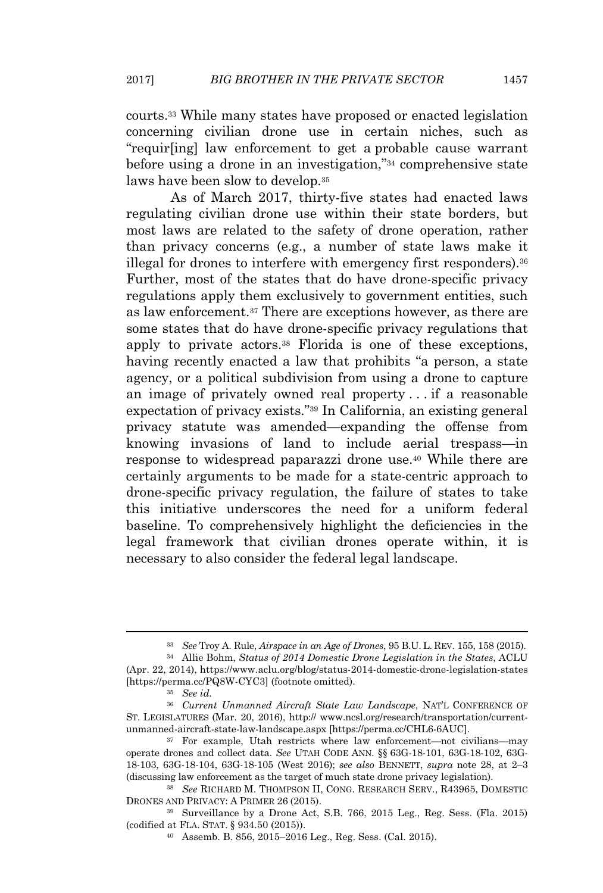courts.<sup>33</sup> While many states have proposed or enacted legislation concerning civilian drone use in certain niches, such as "requir[ing] law enforcement to get a probable cause warrant before using a drone in an investigation,"<sup>34</sup> comprehensive state laws have been slow to develop.<sup>35</sup>

As of March 2017, thirty-five states had enacted laws regulating civilian drone use within their state borders, but most laws are related to the safety of drone operation, rather than privacy concerns (e.g., a number of state laws make it illegal for drones to interfere with emergency first responders).<sup>36</sup> Further, most of the states that do have drone-specific privacy regulations apply them exclusively to government entities, such as law enforcement.<sup>37</sup> There are exceptions however, as there are some states that do have drone-specific privacy regulations that apply to private actors.<sup>38</sup> Florida is one of these exceptions, having recently enacted a law that prohibits "a person, a state agency, or a political subdivision from using a drone to capture an image of privately owned real property . . . if a reasonable expectation of privacy exists."<sup>39</sup> In California, an existing general privacy statute was amended—expanding the offense from knowing invasions of land to include aerial trespass—in response to widespread paparazzi drone use.<sup>40</sup> While there are certainly arguments to be made for a state-centric approach to drone-specific privacy regulation, the failure of states to take this initiative underscores the need for a uniform federal baseline. To comprehensively highlight the deficiencies in the legal framework that civilian drones operate within, it is necessary to also consider the federal legal landscape.

<sup>33</sup> *See* Troy A. Rule, *Airspace in an Age of Drones*, 95 B.U. L. REV. 155, 158 (2015).

<sup>34</sup> Allie Bohm, *Status of 2014 Domestic Drone Legislation in the States*, ACLU (Apr. 22, 2014), https://www.aclu.org/blog/status-2014-domestic-drone-legislation-states [https://perma.cc/PQ8W-CYC3] (footnote omitted).

<sup>35</sup> *See id.*

<sup>36</sup> *Current Unmanned Aircraft State Law Landscape*, NAT'L CONFERENCE OF ST. LEGISLATURES (Mar. 20, 2016), http:// www.ncsl.org/research/transportation/currentunmanned-aircraft-state-law-landscape.aspx [https://perma.cc/CHL6-6AUC].

<sup>37</sup> For example, Utah restricts where law enforcement—not civilians—may operate drones and collect data. *See* UTAH CODE ANN. §§ 63G-18-101, 63G-18-102, 63G-18-103, 63G-18-104, 63G-18-105 (West 2016); *see also* BENNETT, *supra* note 28, at 2–3 (discussing law enforcement as the target of much state drone privacy legislation).

<sup>38</sup> *See* RICHARD M. THOMPSON II, CONG. RESEARCH SERV., R43965, DOMESTIC DRONES AND PRIVACY: A PRIMER 26 (2015).

<sup>39</sup> Surveillance by a Drone Act, S.B. 766, 2015 Leg., Reg. Sess. (Fla. 2015) (codified at FLA. STAT. § 934.50 (2015)).

<sup>40</sup> Assemb. B. 856, 2015–2016 Leg., Reg. Sess. (Cal. 2015).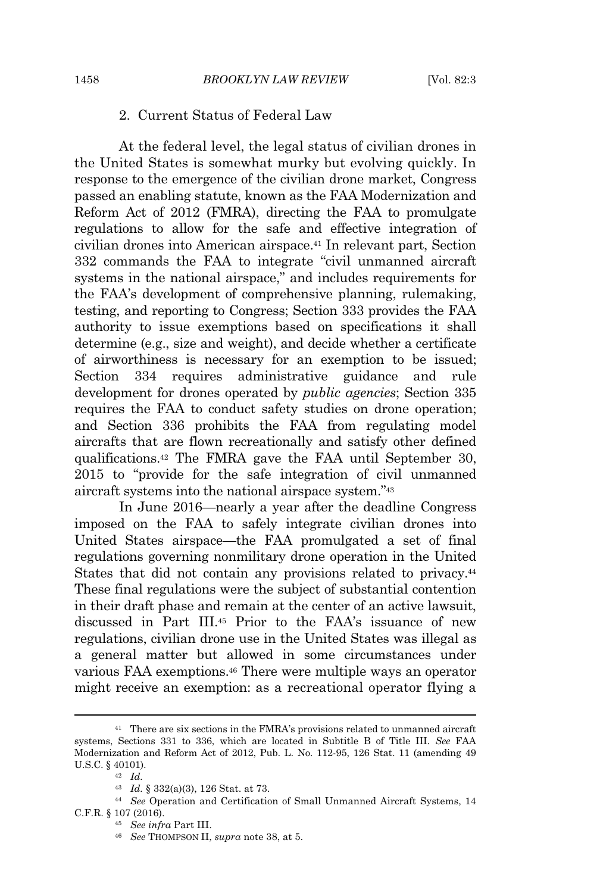# 2. Current Status of Federal Law

At the federal level, the legal status of civilian drones in the United States is somewhat murky but evolving quickly. In response to the emergence of the civilian drone market, Congress passed an enabling statute, known as the FAA Modernization and Reform Act of 2012 (FMRA), directing the FAA to promulgate regulations to allow for the safe and effective integration of civilian drones into American airspace.<sup>41</sup> In relevant part, Section 332 commands the FAA to integrate "civil unmanned aircraft systems in the national airspace," and includes requirements for the FAA's development of comprehensive planning, rulemaking, testing, and reporting to Congress; Section 333 provides the FAA authority to issue exemptions based on specifications it shall determine (e.g., size and weight), and decide whether a certificate of airworthiness is necessary for an exemption to be issued; Section 334 requires administrative guidance and rule development for drones operated by *public agencies*; Section 335 requires the FAA to conduct safety studies on drone operation; and Section 336 prohibits the FAA from regulating model aircrafts that are flown recreationally and satisfy other defined qualifications.<sup>42</sup> The FMRA gave the FAA until September 30, 2015 to "provide for the safe integration of civil unmanned aircraft systems into the national airspace system."<sup>43</sup>

In June 2016—nearly a year after the deadline Congress imposed on the FAA to safely integrate civilian drones into United States airspace—the FAA promulgated a set of final regulations governing nonmilitary drone operation in the United States that did not contain any provisions related to privacy.<sup>44</sup> These final regulations were the subject of substantial contention in their draft phase and remain at the center of an active lawsuit, discussed in Part III.<sup>45</sup> Prior to the FAA's issuance of new regulations, civilian drone use in the United States was illegal as a general matter but allowed in some circumstances under various FAA exemptions.<sup>46</sup> There were multiple ways an operator might receive an exemption: as a recreational operator flying a

<sup>&</sup>lt;sup>41</sup> There are six sections in the FMRA's provisions related to unmanned aircraft systems, Sections 331 to 336, which are located in Subtitle B of Title III. *See* FAA Modernization and Reform Act of 2012, Pub. L. No. 112-95, 126 Stat. 11 (amending 49 U.S.C. § 40101).

<sup>42</sup> *Id.*

<sup>43</sup> *Id.* § 332(a)(3), 126 Stat. at 73.

<sup>44</sup> *See* Operation and Certification of Small Unmanned Aircraft Systems, 14 C.F.R. § 107 (2016).

<sup>45</sup> *See infra* Part III.

<sup>46</sup> *See* THOMPSON II, *supra* note 38, at 5.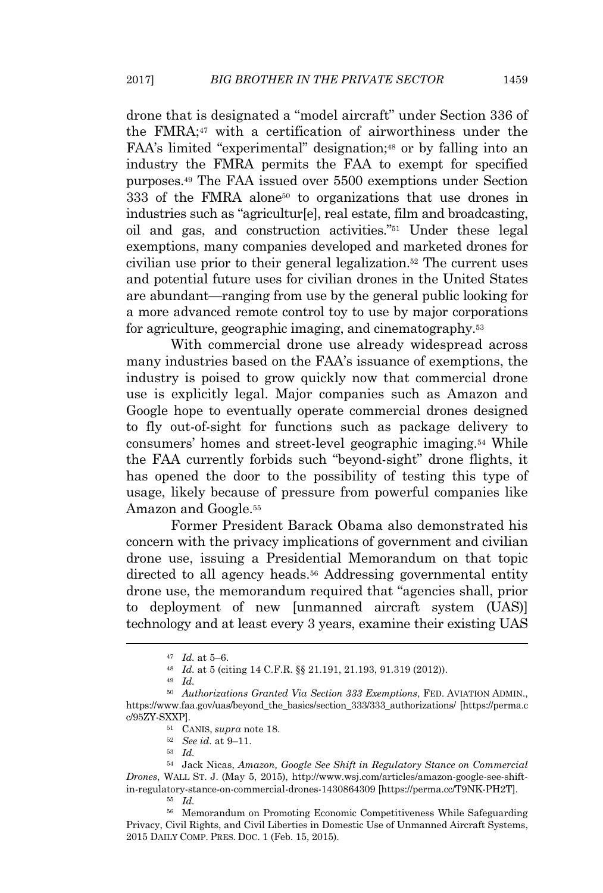drone that is designated a "model aircraft" under Section 336 of the FMRA;<sup>47</sup> with a certification of airworthiness under the FAA's limited "experimental" designation;<sup>48</sup> or by falling into an industry the FMRA permits the FAA to exempt for specified purposes.<sup>49</sup> The FAA issued over 5500 exemptions under Section 333 of the FMRA alone<sup>50</sup> to organizations that use drones in industries such as "agricultur[e], real estate, film and broadcasting, oil and gas, and construction activities."<sup>51</sup> Under these legal exemptions, many companies developed and marketed drones for civilian use prior to their general legalization.<sup>52</sup> The current uses and potential future uses for civilian drones in the United States are abundant—ranging from use by the general public looking for a more advanced remote control toy to use by major corporations for agriculture, geographic imaging, and cinematography.<sup>53</sup>

With commercial drone use already widespread across many industries based on the FAA's issuance of exemptions, the industry is poised to grow quickly now that commercial drone use is explicitly legal. Major companies such as Amazon and Google hope to eventually operate commercial drones designed to fly out-of-sight for functions such as package delivery to consumers' homes and street-level geographic imaging.<sup>54</sup> While the FAA currently forbids such "beyond-sight" drone flights, it has opened the door to the possibility of testing this type of usage, likely because of pressure from powerful companies like Amazon and Google.<sup>55</sup>

Former President Barack Obama also demonstrated his concern with the privacy implications of government and civilian drone use, issuing a Presidential Memorandum on that topic directed to all agency heads.<sup>56</sup> Addressing governmental entity drone use, the memorandum required that "agencies shall, prior to deployment of new [unmanned aircraft system (UAS)] technology and at least every 3 years, examine their existing UAS

<sup>47</sup> *Id.* at 5–6.

<sup>48</sup> *Id.* at 5 (citing 14 C.F.R. §§ 21.191, 21.193, 91.319 (2012)).

<sup>49</sup> *Id.*

<sup>50</sup> *Authorizations Granted Via Section 333 Exemptions*, FED. AVIATION ADMIN., https://www.faa.gov/uas/beyond\_the\_basics/section\_333/333\_authorizations/ [https://perma.c c/95ZY-SXXP].

<sup>51</sup> CANIS, *supra* note 18.

<sup>52</sup> *See id.* at 9–11.

<sup>53</sup> *Id.*

<sup>54</sup> Jack Nicas, *Amazon, Google See Shift in Regulatory Stance on Commercial Drones*, WALL ST. J. (May 5, 2015), http://www.wsj.com/articles/amazon-google-see-shiftin-regulatory-stance-on-commercial-drones-1430864309 [https://perma.cc/T9NK-PH2T]. <sup>55</sup> *Id.*

<sup>56</sup> Memorandum on Promoting Economic Competitiveness While Safeguarding Privacy, Civil Rights, and Civil Liberties in Domestic Use of Unmanned Aircraft Systems, 2015 DAILY COMP. PRES. DOC. 1 (Feb. 15, 2015).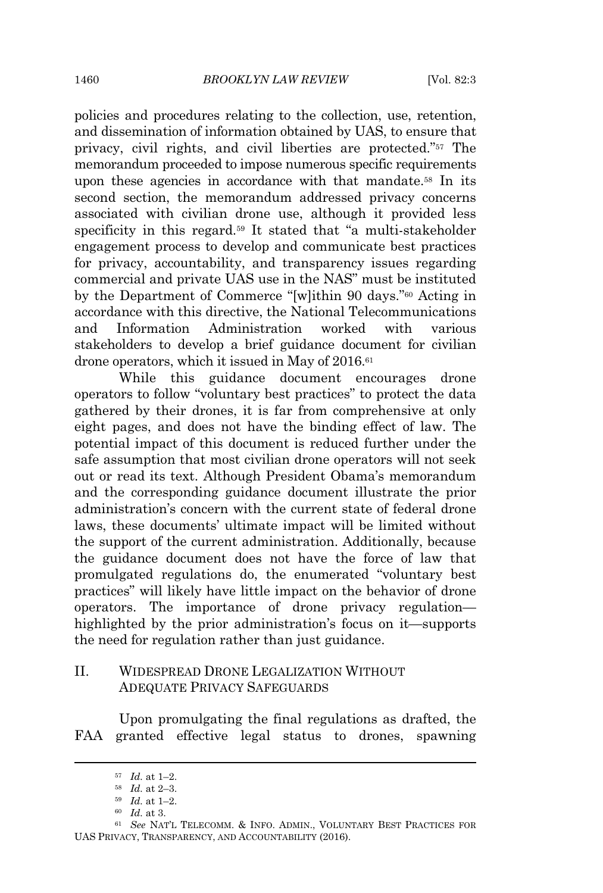policies and procedures relating to the collection, use, retention, and dissemination of information obtained by UAS, to ensure that privacy, civil rights, and civil liberties are protected."<sup>57</sup> The memorandum proceeded to impose numerous specific requirements upon these agencies in accordance with that mandate.<sup>58</sup> In its second section, the memorandum addressed privacy concerns associated with civilian drone use, although it provided less specificity in this regard.<sup>59</sup> It stated that "a multi-stakeholder engagement process to develop and communicate best practices for privacy, accountability, and transparency issues regarding commercial and private UAS use in the NAS" must be instituted by the Department of Commerce "[w]ithin 90 days."<sup>60</sup> Acting in accordance with this directive, the National Telecommunications and Information Administration worked with various stakeholders to develop a brief guidance document for civilian drone operators, which it issued in May of 2016.<sup>61</sup>

While this guidance document encourages drone operators to follow "voluntary best practices" to protect the data gathered by their drones, it is far from comprehensive at only eight pages, and does not have the binding effect of law. The potential impact of this document is reduced further under the safe assumption that most civilian drone operators will not seek out or read its text. Although President Obama's memorandum and the corresponding guidance document illustrate the prior administration's concern with the current state of federal drone laws, these documents' ultimate impact will be limited without the support of the current administration. Additionally, because the guidance document does not have the force of law that promulgated regulations do, the enumerated "voluntary best practices" will likely have little impact on the behavior of drone operators. The importance of drone privacy regulation highlighted by the prior administration's focus on it—supports the need for regulation rather than just guidance.

# II. WIDESPREAD DRONE LEGALIZATION WITHOUT ADEQUATE PRIVACY SAFEGUARDS

Upon promulgating the final regulations as drafted, the FAA granted effective legal status to drones, spawning

<sup>57</sup> *Id.* at 1–2.

<sup>58</sup> *Id.* at 2–3.

<sup>59</sup> *Id.* at 1–2.

<sup>60</sup> *Id.* at 3.

<sup>61</sup> *See* NAT'L TELECOMM. & INFO. ADMIN., VOLUNTARY BEST PRACTICES FOR UAS PRIVACY, TRANSPARENCY, AND ACCOUNTABILITY (2016).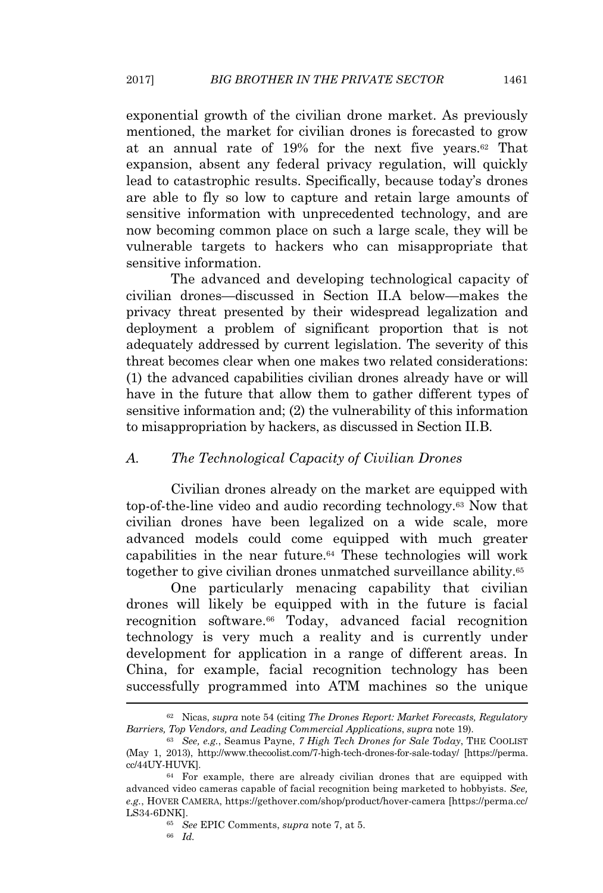exponential growth of the civilian drone market. As previously mentioned, the market for civilian drones is forecasted to grow at an annual rate of 19% for the next five years.<sup>62</sup> That expansion, absent any federal privacy regulation, will quickly lead to catastrophic results. Specifically, because today's drones are able to fly so low to capture and retain large amounts of sensitive information with unprecedented technology, and are now becoming common place on such a large scale, they will be vulnerable targets to hackers who can misappropriate that sensitive information.

The advanced and developing technological capacity of civilian drones—discussed in Section II.A below—makes the privacy threat presented by their widespread legalization and deployment a problem of significant proportion that is not adequately addressed by current legislation. The severity of this threat becomes clear when one makes two related considerations: (1) the advanced capabilities civilian drones already have or will have in the future that allow them to gather different types of sensitive information and; (2) the vulnerability of this information to misappropriation by hackers, as discussed in Section II.B.

#### *A. The Technological Capacity of Civilian Drones*

Civilian drones already on the market are equipped with top-of-the-line video and audio recording technology.<sup>63</sup> Now that civilian drones have been legalized on a wide scale, more advanced models could come equipped with much greater capabilities in the near future.<sup>64</sup> These technologies will work together to give civilian drones unmatched surveillance ability.<sup>65</sup>

One particularly menacing capability that civilian drones will likely be equipped with in the future is facial recognition software.<sup>66</sup> Today, advanced facial recognition technology is very much a reality and is currently under development for application in a range of different areas. In China, for example, facial recognition technology has been successfully programmed into ATM machines so the unique

<sup>62</sup> Nicas, *supra* note 54 (citing *The Drones Report: Market Forecasts, Regulatory Barriers, Top Vendors, and Leading Commercial Applications*, *supra* note 19).

<sup>63</sup> *See, e.g.*, Seamus Payne, *7 High Tech Drones for Sale Today*, THE COOLIST (May 1, 2013), http://www.thecoolist.com/7-high-tech-drones-for-sale-today/ [https://perma. cc/44UY-HUVK].

<sup>64</sup> For example, there are already civilian drones that are equipped with advanced video cameras capable of facial recognition being marketed to hobbyists. *See, e.g.*, HOVER CAMERA, https://gethover.com/shop/product/hover-camera [https://perma.cc/ LS34-6DNK].

<sup>65</sup> *See* EPIC Comments, *supra* note 7, at 5.

<sup>66</sup> *Id.*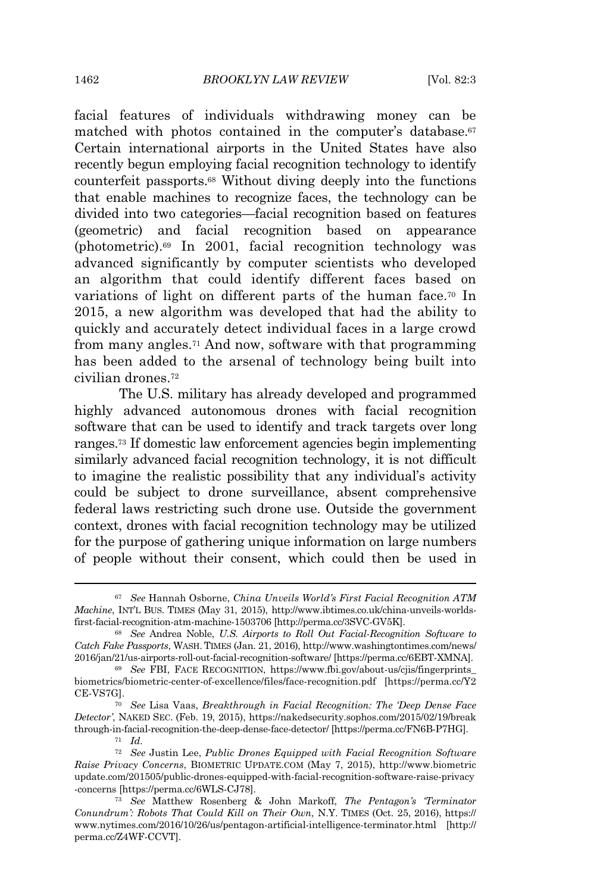facial features of individuals withdrawing money can be matched with photos contained in the computer's database.<sup>67</sup> Certain international airports in the United States have also recently begun employing facial recognition technology to identify counterfeit passports.<sup>68</sup> Without diving deeply into the functions that enable machines to recognize faces, the technology can be divided into two categories—facial recognition based on features (geometric) and facial recognition based on appearance (photometric).<sup>69</sup> In 2001, facial recognition technology was advanced significantly by computer scientists who developed an algorithm that could identify different faces based on variations of light on different parts of the human face.<sup>70</sup> In 2015, a new algorithm was developed that had the ability to quickly and accurately detect individual faces in a large crowd from many angles.<sup>71</sup> And now, software with that programming has been added to the arsenal of technology being built into civilian drones.<sup>72</sup>

The U.S. military has already developed and programmed highly advanced autonomous drones with facial recognition software that can be used to identify and track targets over long ranges.<sup>73</sup> If domestic law enforcement agencies begin implementing similarly advanced facial recognition technology, it is not difficult to imagine the realistic possibility that any individual's activity could be subject to drone surveillance, absent comprehensive federal laws restricting such drone use. Outside the government context, drones with facial recognition technology may be utilized for the purpose of gathering unique information on large numbers of people without their consent, which could then be used in

<sup>67</sup> *See* Hannah Osborne, *China Unveils World's First Facial Recognition ATM Machine*, INT'L BUS. TIMES (May 31, 2015), http://www.ibtimes.co.uk/china-unveils-worldsfirst-facial-recognition-atm-machine-1503706 [http://perma.cc/3SVC-GV5K].

<sup>68</sup> *See* Andrea Noble, *U.S. Airports to Roll Out Facial-Recognition Software to Catch Fake Passports*, WASH. TIMES (Jan. 21, 2016), http://www.washingtontimes.com/news/ 2016/jan/21/us-airports-roll-out-facial-recognition-software/ [https://perma.cc/6EBT-XMNA].

<sup>69</sup> *See* FBI, FACE RECOGNITION, https://www.fbi.gov/about-us/cjis/fingerprints\_ biometrics/biometric-center-of-excellence/files/face-recognition.pdf [https://perma.cc/Y2 CE-VS7G].

<sup>70</sup> *See* Lisa Vaas, *Breakthrough in Facial Recognition: The 'Deep Dense Face Detector'*, NAKED SEC. (Feb. 19, 2015), https://nakedsecurity.sophos.com/2015/02/19/break through-in-facial-recognition-the-deep-dense-face-detector/ [https://perma.cc/FN6B-P7HG].

<sup>71</sup> *Id.*

<sup>72</sup> *See* Justin Lee, *Public Drones Equipped with Facial Recognition Software Raise Privacy Concerns*, BIOMETRIC UPDATE.COM (May 7, 2015), http://www.biometric update.com/201505/public-drones-equipped-with-facial-recognition-software-raise-privacy -concerns [https://perma.cc/6WLS-CJ78].

<sup>73</sup> *See* Matthew Rosenberg & John Markoff, *The Pentagon's 'Terminator Conundrum': Robots That Could Kill on Their Own*, N.Y. TIMES (Oct. 25, 2016), https:// www.nytimes.com/2016/10/26/us/pentagon-artificial-intelligence-terminator.html [http:// perma.cc/Z4WF-CCVT].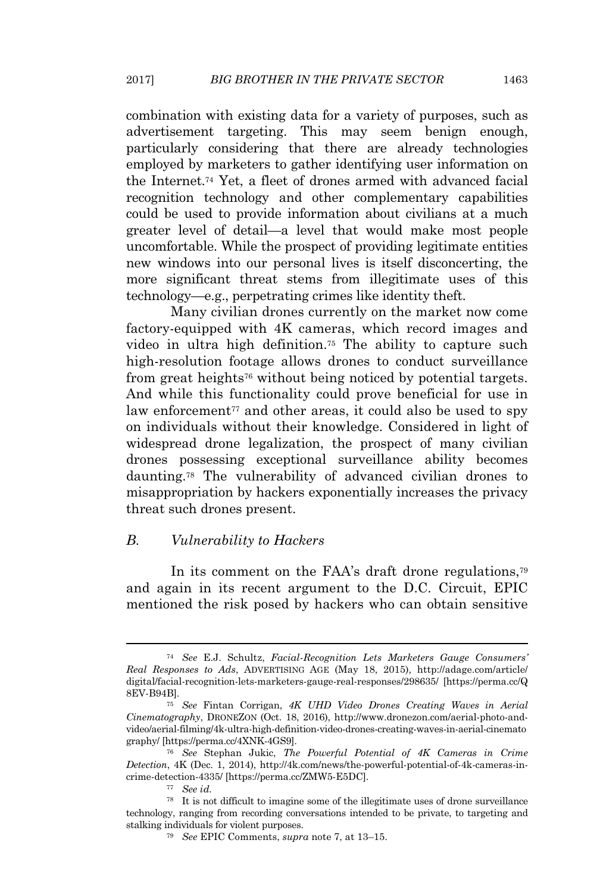combination with existing data for a variety of purposes, such as advertisement targeting. This may seem benign enough, particularly considering that there are already technologies employed by marketers to gather identifying user information on the Internet.<sup>74</sup> Yet, a fleet of drones armed with advanced facial recognition technology and other complementary capabilities could be used to provide information about civilians at a much greater level of detail—a level that would make most people uncomfortable. While the prospect of providing legitimate entities new windows into our personal lives is itself disconcerting, the more significant threat stems from illegitimate uses of this technology—e.g., perpetrating crimes like identity theft.

Many civilian drones currently on the market now come factory-equipped with 4K cameras, which record images and video in ultra high definition.<sup>75</sup> The ability to capture such high-resolution footage allows drones to conduct surveillance from great heights<sup>76</sup> without being noticed by potential targets. And while this functionality could prove beneficial for use in law enforcement<sup> $77$ </sup> and other areas, it could also be used to spy on individuals without their knowledge. Considered in light of widespread drone legalization, the prospect of many civilian drones possessing exceptional surveillance ability becomes daunting.<sup>78</sup> The vulnerability of advanced civilian drones to misappropriation by hackers exponentially increases the privacy threat such drones present.

#### *B. Vulnerability to Hackers*

In its comment on the FAA's draft drone regulations,<sup>79</sup> and again in its recent argument to the D.C. Circuit, EPIC mentioned the risk posed by hackers who can obtain sensitive

<sup>74</sup> *See* E.J. Schultz, *Facial-Recognition Lets Marketers Gauge Consumers' Real Responses to Ads*, ADVERTISING AGE (May 18, 2015), http://adage.com/article/ digital/facial-recognition-lets-marketers-gauge-real-responses/298635/ [https://perma.cc/Q 8EV-B94B].

<sup>75</sup> *See* Fintan Corrigan, *4K UHD Video Drones Creating Waves in Aerial Cinematography*, DRONEZON (Oct. 18, 2016), http://www.dronezon.com/aerial-photo-andvideo/aerial-filming/4k-ultra-high-definition-video-drones-creating-waves-in-aerial-cinemato graphy/ [https://perma.cc/4XNK-4GS9].

<sup>76</sup> *See* Stephan Jukic, *The Powerful Potential of 4K Cameras in Crime Detection*, 4K (Dec. 1, 2014), http://4k.com/news/the-powerful-potential-of-4k-cameras-incrime-detection-4335/ [https://perma.cc/ZMW5-E5DC].

<sup>77</sup> *See id.*

<sup>78</sup> It is not difficult to imagine some of the illegitimate uses of drone surveillance technology, ranging from recording conversations intended to be private, to targeting and stalking individuals for violent purposes.

<sup>79</sup> *See* EPIC Comments, *supra* note 7, at 13–15.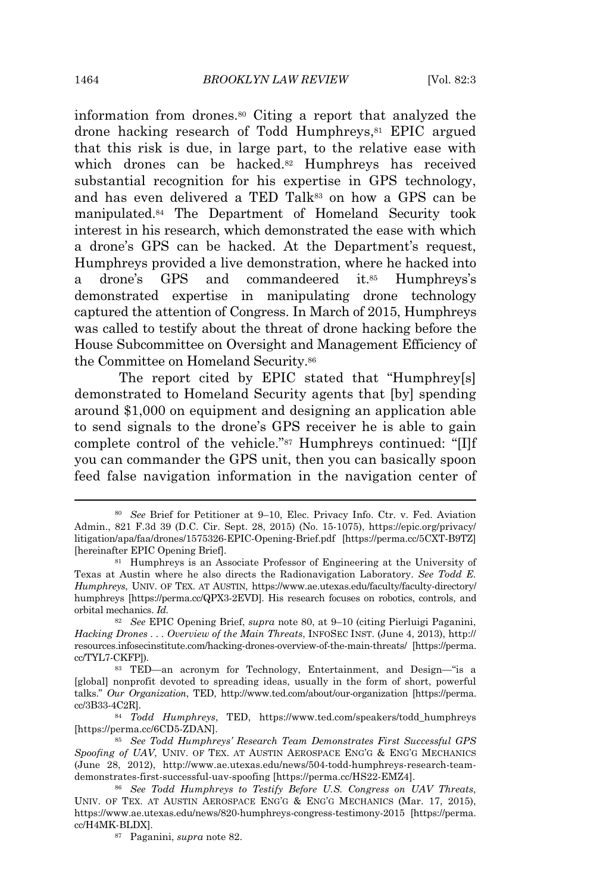information from drones.<sup>80</sup> Citing a report that analyzed the drone hacking research of Todd Humphreys,<sup>81</sup> EPIC argued that this risk is due, in large part, to the relative ease with which drones can be hacked.<sup>82</sup> Humphreys has received substantial recognition for his expertise in GPS technology, and has even delivered a TED Talk<sup>83</sup> on how a GPS can be manipulated.<sup>84</sup> The Department of Homeland Security took interest in his research, which demonstrated the ease with which a drone's GPS can be hacked. At the Department's request, Humphreys provided a live demonstration, where he hacked into a drone's GPS and commandeered it.<sup>85</sup> Humphreys's demonstrated expertise in manipulating drone technology captured the attention of Congress. In March of 2015, Humphreys was called to testify about the threat of drone hacking before the House Subcommittee on Oversight and Management Efficiency of the Committee on Homeland Security.<sup>86</sup>

The report cited by EPIC stated that "Humphrey[s] demonstrated to Homeland Security agents that [by] spending around \$1,000 on equipment and designing an application able to send signals to the drone's GPS receiver he is able to gain complete control of the vehicle."<sup>87</sup> Humphreys continued: "[I]f you can commander the GPS unit, then you can basically spoon feed false navigation information in the navigation center of

<sup>80</sup> *See* Brief for Petitioner at 9–10, Elec. Privacy Info. Ctr. v. Fed. Aviation Admin., 821 F.3d 39 (D.C. Cir. Sept. 28, 2015) (No. 15-1075), https://epic.org/privacy/ litigation/apa/faa/drones/1575326-EPIC-Opening-Brief.pdf [https://perma.cc/5CXT-B9TZ] [hereinafter EPIC Opening Brief].

<sup>81</sup> Humphreys is an Associate Professor of Engineering at the University of Texas at Austin where he also directs the Radionavigation Laboratory. *See Todd E. Humphreys*, UNIV. OF TEX. AT AUSTIN, https://www.ae.utexas.edu/faculty/faculty-directory/ humphreys [https://perma.cc/QPX3-2EVD]. His research focuses on robotics, controls, and orbital mechanics. *Id.*

<sup>82</sup> *See* EPIC Opening Brief, *supra* note 80, at 9–10 (citing Pierluigi Paganini, *Hacking Drones . . . Overview of the Main Threats*, INFOSEC INST. (June 4, 2013), http:// resources.infosecinstitute.com/hacking-drones-overview-of-the-main-threats/ [https://perma. cc/TYL7-CKFP]).

<sup>83</sup> TED—an acronym for Technology, Entertainment, and Design—"is a [global] nonprofit devoted to spreading ideas, usually in the form of short, powerful talks." *Our Organization*, TED, http://www.ted.com/about/our-organization [https://perma. cc/3B33-4C2R].

<sup>84</sup> *Todd Humphreys*, TED, https://www.ted.com/speakers/todd\_humphreys [https://perma.cc/6CD5-ZDAN].

<sup>85</sup> *See Todd Humphreys' Research Team Demonstrates First Successful GPS Spoofing of UAV*, UNIV. OF TEX. AT AUSTIN AEROSPACE ENG'G & ENG'G MECHANICS (June 28, 2012), http://www.ae.utexas.edu/news/504-todd-humphreys-research-teamdemonstrates-first-successful-uav-spoofing [https://perma.cc/HS22-EMZ4].

<sup>86</sup> *See Todd Humphreys to Testify Before U.S. Congress on UAV Threats*, UNIV. OF TEX. AT AUSTIN AEROSPACE ENG'G & ENG'G MECHANICS (Mar. 17, 2015), https://www.ae.utexas.edu/news/820-humphreys-congress-testimony-2015 [https://perma. cc/H4MK-BLDX].

<sup>87</sup> Paganini, *supra* note 82.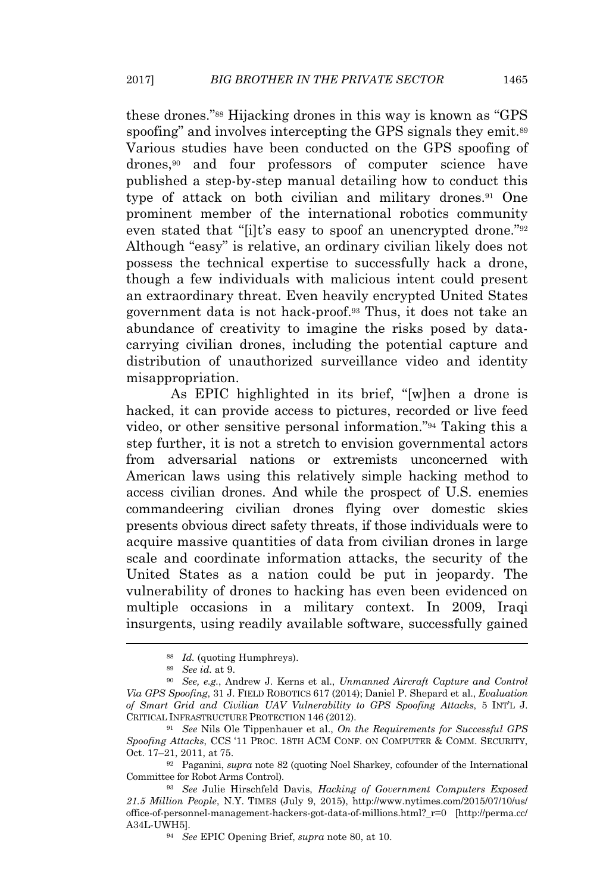these drones."<sup>88</sup> Hijacking drones in this way is known as "GPS spoofing" and involves intercepting the GPS signals they emit.<sup>89</sup> Various studies have been conducted on the GPS spoofing of drones,<sup>90</sup> and four professors of computer science have published a step-by-step manual detailing how to conduct this type of attack on both civilian and military drones.<sup>91</sup> One prominent member of the international robotics community even stated that "[i]t's easy to spoof an unencrypted drone."<sup>92</sup> Although "easy" is relative, an ordinary civilian likely does not possess the technical expertise to successfully hack a drone, though a few individuals with malicious intent could present an extraordinary threat. Even heavily encrypted United States government data is not hack-proof.<sup>93</sup> Thus, it does not take an abundance of creativity to imagine the risks posed by datacarrying civilian drones, including the potential capture and distribution of unauthorized surveillance video and identity misappropriation.

As EPIC highlighted in its brief, "[w]hen a drone is hacked, it can provide access to pictures, recorded or live feed video, or other sensitive personal information."<sup>94</sup> Taking this a step further, it is not a stretch to envision governmental actors from adversarial nations or extremists unconcerned with American laws using this relatively simple hacking method to access civilian drones. And while the prospect of U.S. enemies commandeering civilian drones flying over domestic skies presents obvious direct safety threats, if those individuals were to acquire massive quantities of data from civilian drones in large scale and coordinate information attacks, the security of the United States as a nation could be put in jeopardy. The vulnerability of drones to hacking has even been evidenced on multiple occasions in a military context. In 2009, Iraqi insurgents, using readily available software, successfully gained

<sup>88</sup> *Id.* (quoting Humphreys).

<sup>89</sup> *See id.* at 9.

<sup>90</sup> *See, e.g.*, Andrew J. Kerns et al., *Unmanned Aircraft Capture and Control Via GPS Spoofing*, 31 J. FIELD ROBOTICS 617 (2014); Daniel P. Shepard et al., *Evaluation of Smart Grid and Civilian UAV Vulnerability to GPS Spoofing Attacks*, 5 INT'L J. CRITICAL INFRASTRUCTURE PROTECTION 146 (2012).

<sup>91</sup> *See* Nils Ole Tippenhauer et al., *On the Requirements for Successful GPS Spoofing Attacks*, CCS '11 PROC. 18TH ACM CONF. ON COMPUTER & COMM. SECURITY, Oct. 17–21, 2011, at 75.

<sup>92</sup> Paganini, *supra* note 82 (quoting Noel Sharkey, cofounder of the International Committee for Robot Arms Control).

<sup>93</sup> *See* Julie Hirschfeld Davis, *Hacking of Government Computers Exposed 21.5 Million People*, N.Y. TIMES (July 9, 2015), http://www.nytimes.com/2015/07/10/us/ office-of-personnel-management-hackers-got-data-of-millions.html?\_r=0 [http://perma.cc/ A34L-UWH5].

<sup>94</sup> *See* EPIC Opening Brief, *supra* note 80, at 10.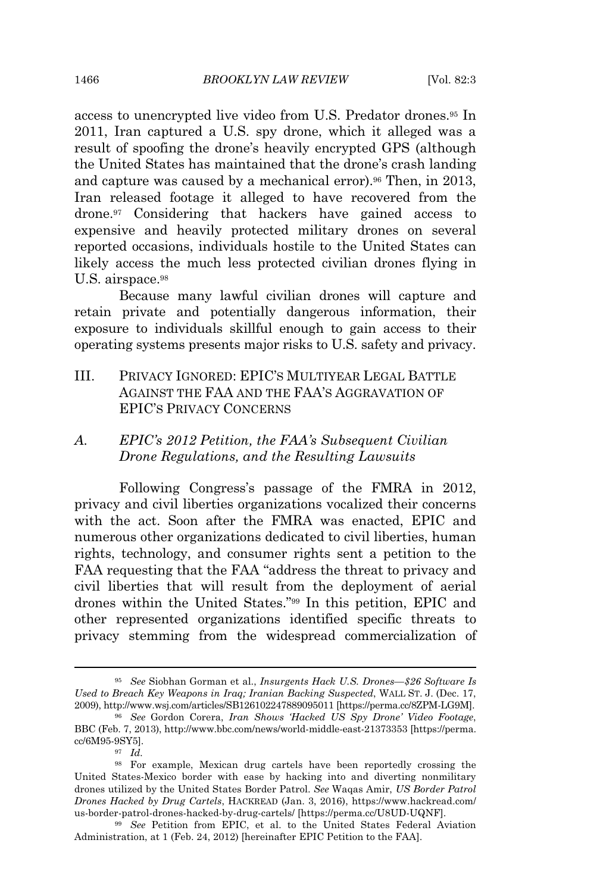access to unencrypted live video from U.S. Predator drones.<sup>95</sup> In 2011, Iran captured a U.S. spy drone, which it alleged was a result of spoofing the drone's heavily encrypted GPS (although the United States has maintained that the drone's crash landing and capture was caused by a mechanical error).<sup>96</sup> Then, in 2013, Iran released footage it alleged to have recovered from the drone.<sup>97</sup> Considering that hackers have gained access to expensive and heavily protected military drones on several reported occasions, individuals hostile to the United States can likely access the much less protected civilian drones flying in U.S. airspace.<sup>98</sup>

Because many lawful civilian drones will capture and retain private and potentially dangerous information, their exposure to individuals skillful enough to gain access to their operating systems presents major risks to U.S. safety and privacy.

III. PRIVACY IGNORED: EPIC'S MULTIYEAR LEGAL BATTLE AGAINST THE FAA AND THE FAA'S AGGRAVATION OF EPIC'S PRIVACY CONCERNS

# *A. EPIC's 2012 Petition, the FAA's Subsequent Civilian Drone Regulations, and the Resulting Lawsuits*

Following Congress's passage of the FMRA in 2012, privacy and civil liberties organizations vocalized their concerns with the act. Soon after the FMRA was enacted, EPIC and numerous other organizations dedicated to civil liberties, human rights, technology, and consumer rights sent a petition to the FAA requesting that the FAA "address the threat to privacy and civil liberties that will result from the deployment of aerial drones within the United States."<sup>99</sup> In this petition, EPIC and other represented organizations identified specific threats to privacy stemming from the widespread commercialization of

<sup>95</sup> *See* Siobhan Gorman et al., *Insurgents Hack U.S. Drones—\$26 Software Is Used to Breach Key Weapons in Iraq; Iranian Backing Suspected*, WALL ST. J. (Dec. 17, 2009), http://www.wsj.com/articles/SB126102247889095011 [https://perma.cc/8ZPM-LG9M].

<sup>96</sup> *See* Gordon Corera, *Iran Shows 'Hacked US Spy Drone' Video Footage*, BBC (Feb. 7, 2013), http://www.bbc.com/news/world-middle-east-21373353 [https://perma. cc/6M95-9SY5].

<sup>97</sup> *Id.*

<sup>98</sup> For example, Mexican drug cartels have been reportedly crossing the United States-Mexico border with ease by hacking into and diverting nonmilitary drones utilized by the United States Border Patrol. *See* Waqas Amir, *US Border Patrol Drones Hacked by Drug Cartels*, HACKREAD (Jan. 3, 2016), https://www.hackread.com/ us-border-patrol-drones-hacked-by-drug-cartels/ [https://perma.cc/U8UD-UQNF].

<sup>99</sup> *See* Petition from EPIC, et al. to the United States Federal Aviation Administration, at 1 (Feb. 24, 2012) [hereinafter EPIC Petition to the FAA].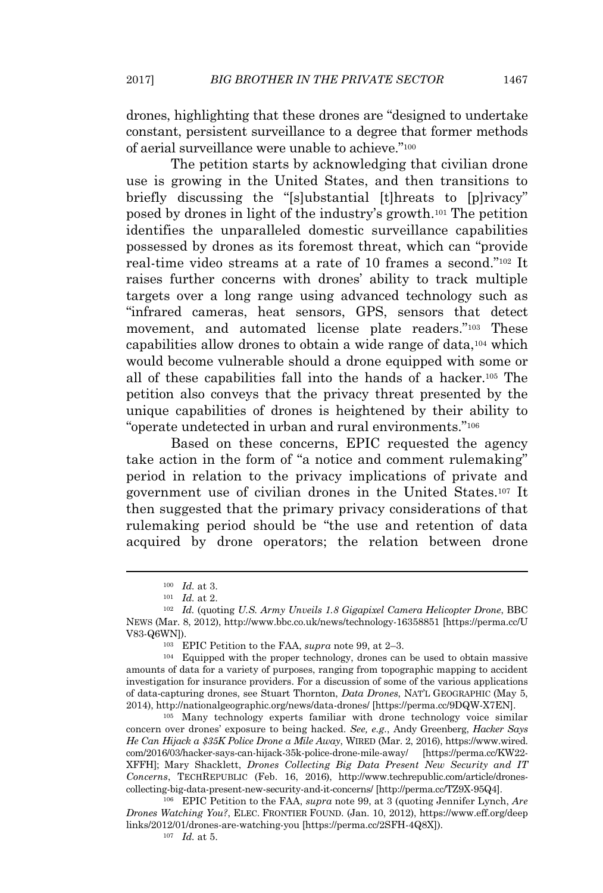drones, highlighting that these drones are "designed to undertake constant, persistent surveillance to a degree that former methods of aerial surveillance were unable to achieve."<sup>100</sup>

The petition starts by acknowledging that civilian drone use is growing in the United States, and then transitions to briefly discussing the "[s]ubstantial [t]hreats to [p]rivacy" posed by drones in light of the industry's growth.<sup>101</sup> The petition identifies the unparalleled domestic surveillance capabilities possessed by drones as its foremost threat, which can "provide real-time video streams at a rate of 10 frames a second."<sup>102</sup> It raises further concerns with drones' ability to track multiple targets over a long range using advanced technology such as "infrared cameras, heat sensors, GPS, sensors that detect movement, and automated license plate readers."<sup>103</sup> These capabilities allow drones to obtain a wide range of data,<sup>104</sup> which would become vulnerable should a drone equipped with some or all of these capabilities fall into the hands of a hacker.<sup>105</sup> The petition also conveys that the privacy threat presented by the unique capabilities of drones is heightened by their ability to "operate undetected in urban and rural environments."<sup>106</sup>

Based on these concerns, EPIC requested the agency take action in the form of "a notice and comment rulemaking" period in relation to the privacy implications of private and government use of civilian drones in the United States.<sup>107</sup> It then suggested that the primary privacy considerations of that rulemaking period should be "the use and retention of data acquired by drone operators; the relation between drone

<sup>105</sup> Many technology experts familiar with drone technology voice similar concern over drones' exposure to being hacked. *See, e.g.*, Andy Greenberg, *Hacker Says He Can Hijack a \$35K Police Drone a Mile Away*, WIRED (Mar. 2, 2016), https://www.wired. com/2016/03/hacker-says-can-hijack-35k-police-drone-mile-away/ [https://perma.cc/KW22- XFFH]; Mary Shacklett, *Drones Collecting Big Data Present New Security and IT Concerns*, TECHREPUBLIC (Feb. 16, 2016), http://www.techrepublic.com/article/dronescollecting-big-data-present-new-security-and-it-concerns/ [http://perma.cc/TZ9X-95Q4].

<sup>106</sup> EPIC Petition to the FAA, *supra* note 99, at 3 (quoting Jennifer Lynch, *Are Drones Watching You?*, ELEC. FRONTIER FOUND. (Jan. 10, 2012), https://www.eff.org/deep links/2012/01/drones-are-watching-you [https://perma.cc/2SFH-4Q8X]).

<sup>107</sup> *Id.* at 5.

<sup>100</sup> *Id.* at 3.

<sup>101</sup> *Id.* at 2.

<sup>102</sup> *Id.* (quoting *U.S. Army Unveils 1.8 Gigapixel Camera Helicopter Drone*, BBC NEWS (Mar. 8, 2012), http://www.bbc.co.uk/news/technology-16358851 [https://perma.cc/U V83-Q6WN]).

<sup>103</sup> EPIC Petition to the FAA, *supra* note 99, at 2–3.

<sup>104</sup> Equipped with the proper technology, drones can be used to obtain massive amounts of data for a variety of purposes, ranging from topographic mapping to accident investigation for insurance providers. For a discussion of some of the various applications of data-capturing drones, see Stuart Thornton, *Data Drones*, NAT'L GEOGRAPHIC (May 5, 2014), http://nationalgeographic.org/news/data-drones/ [https://perma.cc/9DQW-X7EN].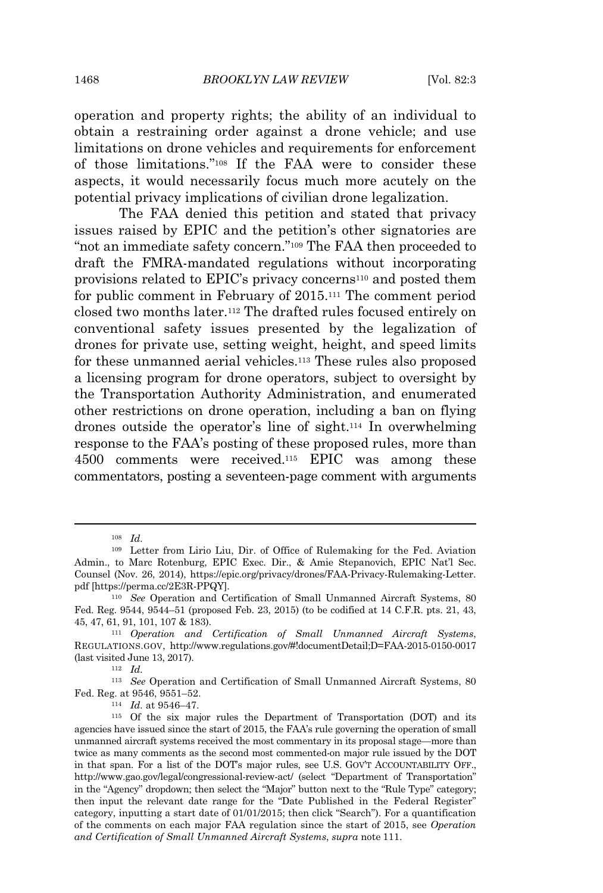1468 *BROOKLYN LAW REVIEW* [Vol. 82:3

operation and property rights; the ability of an individual to obtain a restraining order against a drone vehicle; and use limitations on drone vehicles and requirements for enforcement of those limitations."<sup>108</sup> If the FAA were to consider these aspects, it would necessarily focus much more acutely on the potential privacy implications of civilian drone legalization.

The FAA denied this petition and stated that privacy issues raised by EPIC and the petition's other signatories are "not an immediate safety concern."<sup>109</sup> The FAA then proceeded to draft the FMRA-mandated regulations without incorporating provisions related to EPIC's privacy concerns<sup>110</sup> and posted them for public comment in February of 2015.<sup>111</sup> The comment period closed two months later.<sup>112</sup> The drafted rules focused entirely on conventional safety issues presented by the legalization of drones for private use, setting weight, height, and speed limits for these unmanned aerial vehicles.<sup>113</sup> These rules also proposed a licensing program for drone operators, subject to oversight by the Transportation Authority Administration, and enumerated other restrictions on drone operation, including a ban on flying drones outside the operator's line of sight.<sup>114</sup> In overwhelming response to the FAA's posting of these proposed rules, more than 4500 comments were received.<sup>115</sup> EPIC was among these commentators, posting a seventeen-page comment with arguments

<sup>112</sup> *Id.*

<sup>108</sup> *Id.*

<sup>109</sup> Letter from Lirio Liu, Dir. of Office of Rulemaking for the Fed. Aviation Admin., to Marc Rotenburg, EPIC Exec. Dir., & Amie Stepanovich, EPIC Nat'l Sec. Counsel (Nov. 26, 2014), https://epic.org/privacy/drones/FAA-Privacy-Rulemaking-Letter. pdf [https://perma.cc/2E3R-PPQY].

<sup>110</sup> *See* Operation and Certification of Small Unmanned Aircraft Systems, 80 Fed. Reg. 9544, 9544–51 (proposed Feb. 23, 2015) (to be codified at 14 C.F.R. pts. 21, 43, 45, 47, 61, 91, 101, 107 & 183).

<sup>111</sup> *Operation and Certification of Small Unmanned Aircraft Systems*, REGULATIONS.GOV, http://www.regulations.gov/#!documentDetail;D=FAA-2015-0150-0017 (last visited June 13, 2017).

<sup>113</sup> *See* Operation and Certification of Small Unmanned Aircraft Systems, 80 Fed. Reg. at 9546, 9551–52.

<sup>114</sup> *Id.* at 9546–47.

<sup>115</sup> Of the six major rules the Department of Transportation (DOT) and its agencies have issued since the start of 2015, the FAA's rule governing the operation of small unmanned aircraft systems received the most commentary in its proposal stage—more than twice as many comments as the second most commented-on major rule issued by the DOT in that span. For a list of the DOT's major rules, see U.S. GOV'T ACCOUNTABILITY OFF., http://www.gao.gov/legal/congressional-review-act/ (select "Department of Transportation" in the "Agency" dropdown; then select the "Major" button next to the "Rule Type" category; then input the relevant date range for the "Date Published in the Federal Register" category, inputting a start date of 01/01/2015; then click "Search"). For a quantification of the comments on each major FAA regulation since the start of 2015, see *Operation and Certification of Small Unmanned Aircraft Systems*, *supra* note 111.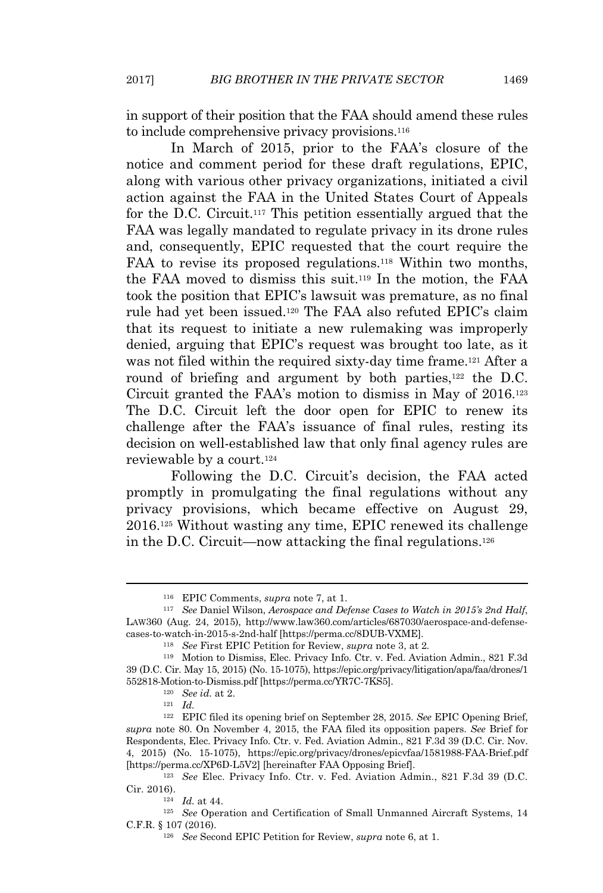in support of their position that the FAA should amend these rules to include comprehensive privacy provisions.<sup>116</sup>

In March of 2015, prior to the FAA's closure of the notice and comment period for these draft regulations, EPIC, along with various other privacy organizations, initiated a civil action against the FAA in the United States Court of Appeals for the D.C. Circuit.<sup>117</sup> This petition essentially argued that the FAA was legally mandated to regulate privacy in its drone rules and, consequently, EPIC requested that the court require the FAA to revise its proposed regulations.<sup>118</sup> Within two months, the FAA moved to dismiss this suit.<sup>119</sup> In the motion, the FAA took the position that EPIC's lawsuit was premature, as no final rule had yet been issued.<sup>120</sup> The FAA also refuted EPIC's claim that its request to initiate a new rulemaking was improperly denied, arguing that EPIC's request was brought too late, as it was not filed within the required sixty-day time frame.<sup>121</sup> After a round of briefing and argument by both parties,<sup>122</sup> the D.C. Circuit granted the FAA's motion to dismiss in May of 2016.<sup>123</sup> The D.C. Circuit left the door open for EPIC to renew its challenge after the FAA's issuance of final rules, resting its decision on well-established law that only final agency rules are reviewable by a court.<sup>124</sup>

Following the D.C. Circuit's decision, the FAA acted promptly in promulgating the final regulations without any privacy provisions, which became effective on August 29, 2016.<sup>125</sup> Without wasting any time, EPIC renewed its challenge in the D.C. Circuit—now attacking the final regulations.<sup>126</sup>

<sup>116</sup> EPIC Comments, *supra* note 7, at 1.

<sup>117</sup> *See* Daniel Wilson, *Aerospace and Defense Cases to Watch in 2015's 2nd Half*, LAW360 (Aug. 24, 2015), http://www.law360.com/articles/687030/aerospace-and-defensecases-to-watch-in-2015-s-2nd-half [https://perma.cc/8DUB-VXME].

<sup>118</sup> *See* First EPIC Petition for Review, *supra* note 3, at 2*.*

<sup>119</sup> Motion to Dismiss, Elec. Privacy Info. Ctr. v. Fed. Aviation Admin., 821 F.3d 39 (D.C. Cir. May 15, 2015) (No. 15-1075), https://epic.org/privacy/litigation/apa/faa/drones/1 552818-Motion-to-Dismiss.pdf [https://perma.cc/YR7C-7KS5].

<sup>120</sup> *See id.* at 2.

<sup>121</sup> *Id.*

<sup>122</sup> EPIC filed its opening brief on September 28, 2015. *See* EPIC Opening Brief, *supra* note 80. On November 4, 2015, the FAA filed its opposition papers. *See* Brief for Respondents, Elec. Privacy Info. Ctr. v. Fed. Aviation Admin., 821 F.3d 39 (D.C. Cir. Nov. 4, 2015) (No. 15-1075), https://epic.org/privacy/drones/epicvfaa/1581988-FAA-Brief.pdf [https://perma.cc/XP6D-L5V2] [hereinafter FAA Opposing Brief].

<sup>123</sup> *See* Elec. Privacy Info. Ctr. v. Fed. Aviation Admin., 821 F.3d 39 (D.C. Cir. 2016).

<sup>124</sup> *Id.* at 44.

<sup>125</sup> *See* Operation and Certification of Small Unmanned Aircraft Systems, 14 C.F.R. § 107 (2016).

<sup>126</sup> *See* Second EPIC Petition for Review, *supra* note 6, at 1.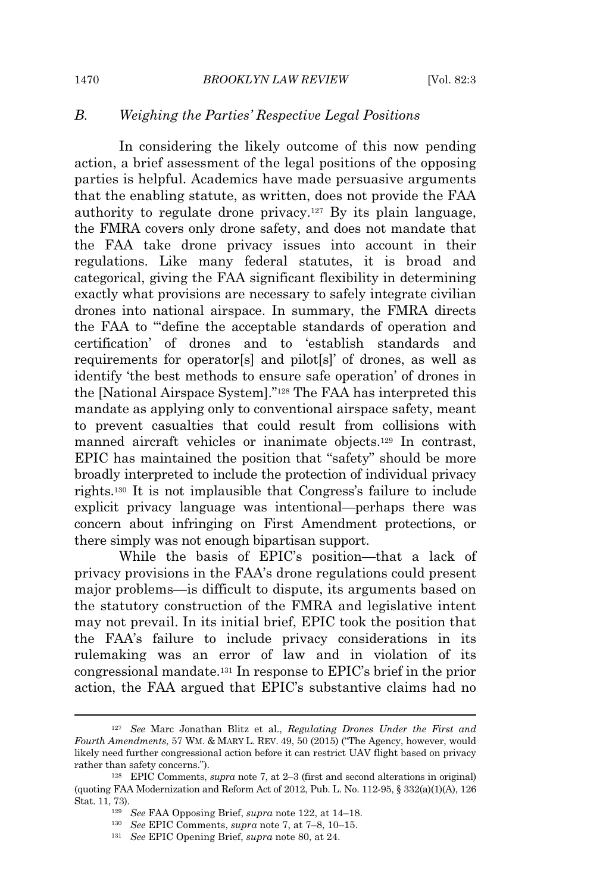# *B. Weighing the Parties' Respective Legal Positions*

In considering the likely outcome of this now pending action, a brief assessment of the legal positions of the opposing parties is helpful. Academics have made persuasive arguments that the enabling statute, as written, does not provide the FAA authority to regulate drone privacy.<sup>127</sup> By its plain language, the FMRA covers only drone safety, and does not mandate that the FAA take drone privacy issues into account in their regulations. Like many federal statutes, it is broad and categorical, giving the FAA significant flexibility in determining exactly what provisions are necessary to safely integrate civilian drones into national airspace. In summary, the FMRA directs the FAA to "'define the acceptable standards of operation and certification' of drones and to 'establish standards and requirements for operator[s] and pilot[s]' of drones, as well as identify 'the best methods to ensure safe operation' of drones in the [National Airspace System]."<sup>128</sup> The FAA has interpreted this mandate as applying only to conventional airspace safety, meant to prevent casualties that could result from collisions with manned aircraft vehicles or inanimate objects.<sup>129</sup> In contrast, EPIC has maintained the position that "safety" should be more broadly interpreted to include the protection of individual privacy rights.<sup>130</sup> It is not implausible that Congress's failure to include explicit privacy language was intentional—perhaps there was concern about infringing on First Amendment protections, or there simply was not enough bipartisan support.

While the basis of EPIC's position—that a lack of privacy provisions in the FAA's drone regulations could present major problems—is difficult to dispute, its arguments based on the statutory construction of the FMRA and legislative intent may not prevail. In its initial brief, EPIC took the position that the FAA's failure to include privacy considerations in its rulemaking was an error of law and in violation of its congressional mandate.<sup>131</sup> In response to EPIC's brief in the prior action, the FAA argued that EPIC's substantive claims had no

<sup>127</sup> *See* Marc Jonathan Blitz et al., *Regulating Drones Under the First and Fourth Amendments*, 57 WM. & MARY L. REV. 49, 50 (2015) ("The Agency, however, would likely need further congressional action before it can restrict UAV flight based on privacy rather than safety concerns.").

<sup>128</sup> EPIC Comments, *supra* note 7, at 2–3 (first and second alterations in original) (quoting FAA Modernization and Reform Act of 2012, Pub. L. No. 112-95, § 332(a)(1)(A), 126 Stat. 11, 73).

<sup>129</sup> *See* FAA Opposing Brief, *supra* note 122, at 14–18.

<sup>130</sup> *See* EPIC Comments, *supra* note 7, at 7–8, 10–15.

<sup>131</sup> *See* EPIC Opening Brief, *supra* note 80, at 24.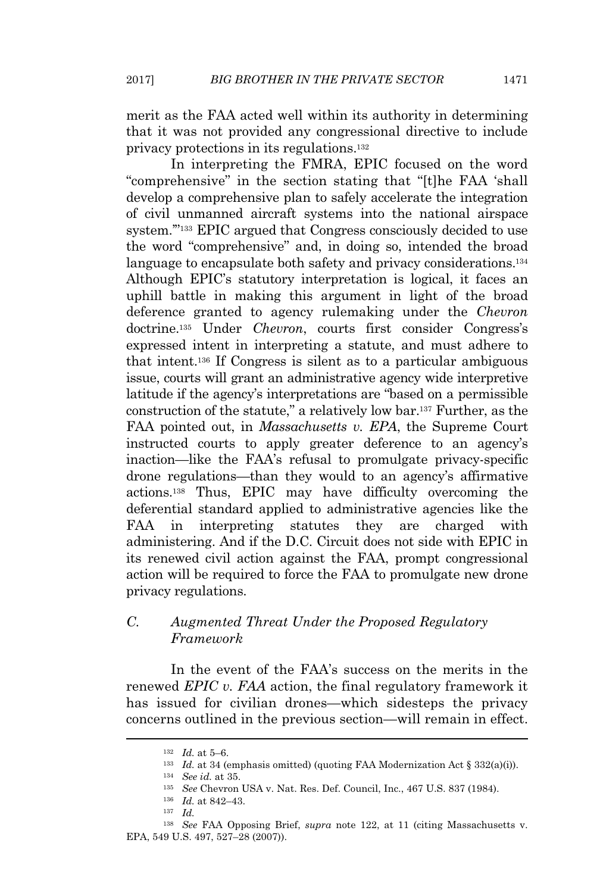merit as the FAA acted well within its authority in determining that it was not provided any congressional directive to include privacy protections in its regulations.<sup>132</sup>

In interpreting the FMRA, EPIC focused on the word "comprehensive" in the section stating that "[t]he FAA 'shall develop a comprehensive plan to safely accelerate the integration of civil unmanned aircraft systems into the national airspace system.'"<sup>133</sup> EPIC argued that Congress consciously decided to use the word "comprehensive" and, in doing so, intended the broad language to encapsulate both safety and privacy considerations.<sup>134</sup> Although EPIC's statutory interpretation is logical, it faces an uphill battle in making this argument in light of the broad deference granted to agency rulemaking under the *Chevron* doctrine.<sup>135</sup> Under *Chevron*, courts first consider Congress's expressed intent in interpreting a statute, and must adhere to that intent.<sup>136</sup> If Congress is silent as to a particular ambiguous issue, courts will grant an administrative agency wide interpretive latitude if the agency's interpretations are "based on a permissible construction of the statute," a relatively low bar.<sup>137</sup> Further, as the FAA pointed out, in *Massachusetts v. EPA*, the Supreme Court instructed courts to apply greater deference to an agency's inaction—like the FAA's refusal to promulgate privacy-specific drone regulations—than they would to an agency's affirmative actions.<sup>138</sup> Thus, EPIC may have difficulty overcoming the deferential standard applied to administrative agencies like the FAA in interpreting statutes they are charged with administering. And if the D.C. Circuit does not side with EPIC in its renewed civil action against the FAA, prompt congressional action will be required to force the FAA to promulgate new drone privacy regulations.

# *C. Augmented Threat Under the Proposed Regulatory Framework*

In the event of the FAA's success on the merits in the renewed *EPIC v. FAA* action, the final regulatory framework it has issued for civilian drones—which sidesteps the privacy concerns outlined in the previous section—will remain in effect.

<sup>132</sup> *Id.* at 5–6.

<sup>&</sup>lt;sup>133</sup> *Id.* at 34 (emphasis omitted) (quoting FAA Modernization Act § 332(a)(i)).

<sup>134</sup> *See id.* at 35.

<sup>135</sup> *See* Chevron USA v. Nat. Res. Def. Council, Inc., 467 U.S. 837 (1984).

<sup>136</sup> *Id.* at 842–43.

<sup>137</sup> *Id.*

<sup>138</sup> *See* FAA Opposing Brief, *supra* note 122, at 11 (citing Massachusetts v. EPA, 549 U.S. 497, 527–28 (2007)).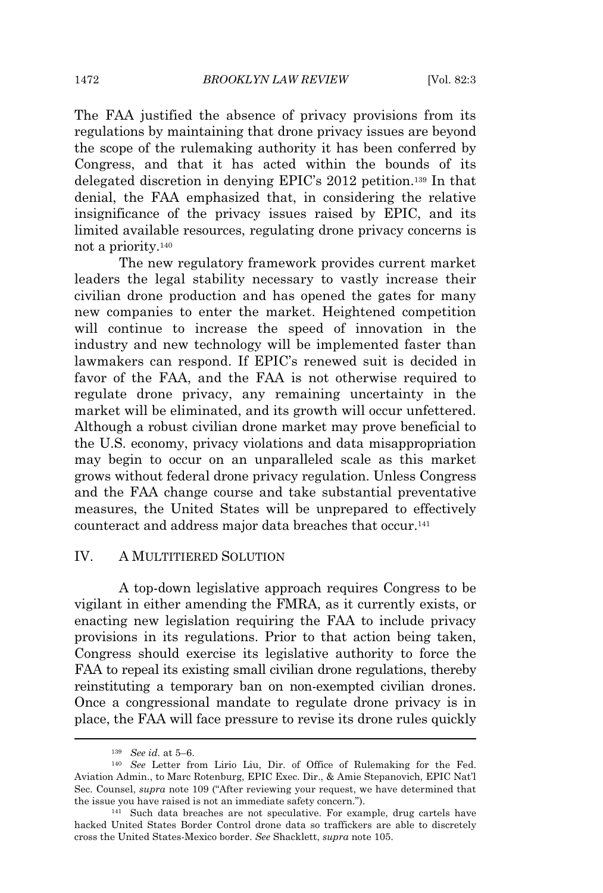The FAA justified the absence of privacy provisions from its regulations by maintaining that drone privacy issues are beyond the scope of the rulemaking authority it has been conferred by Congress, and that it has acted within the bounds of its delegated discretion in denying EPIC's 2012 petition.<sup>139</sup> In that denial, the FAA emphasized that, in considering the relative insignificance of the privacy issues raised by EPIC, and its limited available resources, regulating drone privacy concerns is not a priority.<sup>140</sup>

The new regulatory framework provides current market leaders the legal stability necessary to vastly increase their civilian drone production and has opened the gates for many new companies to enter the market. Heightened competition will continue to increase the speed of innovation in the industry and new technology will be implemented faster than lawmakers can respond. If EPIC's renewed suit is decided in favor of the FAA, and the FAA is not otherwise required to regulate drone privacy, any remaining uncertainty in the market will be eliminated, and its growth will occur unfettered. Although a robust civilian drone market may prove beneficial to the U.S. economy, privacy violations and data misappropriation may begin to occur on an unparalleled scale as this market grows without federal drone privacy regulation. Unless Congress and the FAA change course and take substantial preventative measures, the United States will be unprepared to effectively counteract and address major data breaches that occur.<sup>141</sup>

## IV. A MULTITIERED SOLUTION

A top-down legislative approach requires Congress to be vigilant in either amending the FMRA, as it currently exists, or enacting new legislation requiring the FAA to include privacy provisions in its regulations. Prior to that action being taken, Congress should exercise its legislative authority to force the FAA to repeal its existing small civilian drone regulations, thereby reinstituting a temporary ban on non-exempted civilian drones. Once a congressional mandate to regulate drone privacy is in place, the FAA will face pressure to revise its drone rules quickly

<sup>139</sup> *See id.* at 5–6.

<sup>140</sup> *See* Letter from Lirio Liu, Dir. of Office of Rulemaking for the Fed. Aviation Admin., to Marc Rotenburg, EPIC Exec. Dir., & Amie Stepanovich, EPIC Nat'l Sec. Counsel, *supra* note 109 ("After reviewing your request, we have determined that the issue you have raised is not an immediate safety concern.").

<sup>141</sup> Such data breaches are not speculative. For example, drug cartels have hacked United States Border Control drone data so traffickers are able to discretely cross the United States-Mexico border. *See* Shacklett, *supra* note 105.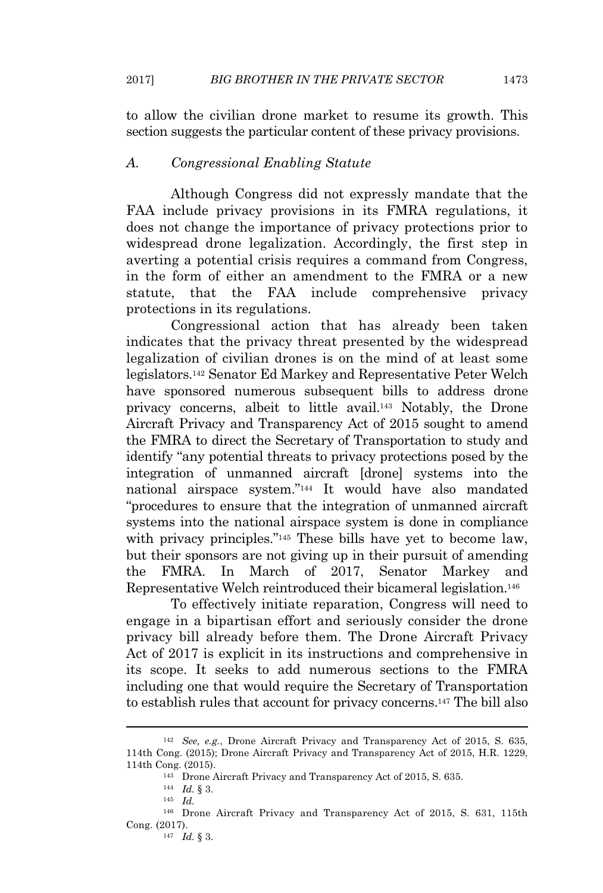to allow the civilian drone market to resume its growth. This section suggests the particular content of these privacy provisions.

# *A. Congressional Enabling Statute*

Although Congress did not expressly mandate that the FAA include privacy provisions in its FMRA regulations, it does not change the importance of privacy protections prior to widespread drone legalization. Accordingly, the first step in averting a potential crisis requires a command from Congress, in the form of either an amendment to the FMRA or a new statute, that the FAA include comprehensive privacy protections in its regulations.

Congressional action that has already been taken indicates that the privacy threat presented by the widespread legalization of civilian drones is on the mind of at least some legislators.<sup>142</sup> Senator Ed Markey and Representative Peter Welch have sponsored numerous subsequent bills to address drone privacy concerns, albeit to little avail.<sup>143</sup> Notably, the Drone Aircraft Privacy and Transparency Act of 2015 sought to amend the FMRA to direct the Secretary of Transportation to study and identify "any potential threats to privacy protections posed by the integration of unmanned aircraft [drone] systems into the national airspace system."<sup>144</sup> It would have also mandated "procedures to ensure that the integration of unmanned aircraft systems into the national airspace system is done in compliance with privacy principles."<sup>145</sup> These bills have yet to become law, but their sponsors are not giving up in their pursuit of amending the FMRA. In March of 2017, Senator Markey and Representative Welch reintroduced their bicameral legislation.<sup>146</sup>

To effectively initiate reparation, Congress will need to engage in a bipartisan effort and seriously consider the drone privacy bill already before them. The Drone Aircraft Privacy Act of 2017 is explicit in its instructions and comprehensive in its scope. It seeks to add numerous sections to the FMRA including one that would require the Secretary of Transportation to establish rules that account for privacy concerns.<sup>147</sup> The bill also

<sup>142</sup> *See, e.g.*, Drone Aircraft Privacy and Transparency Act of 2015, S. 635, 114th Cong. (2015); Drone Aircraft Privacy and Transparency Act of 2015, H.R. 1229, 114th Cong. (2015).

<sup>143</sup> Drone Aircraft Privacy and Transparency Act of 2015, S. 635.

<sup>144</sup> *Id.* § 3.

<sup>145</sup> *Id.*

<sup>146</sup> Drone Aircraft Privacy and Transparency Act of 2015, S. 631, 115th Cong. (2017).

<sup>147</sup> *Id.* § 3.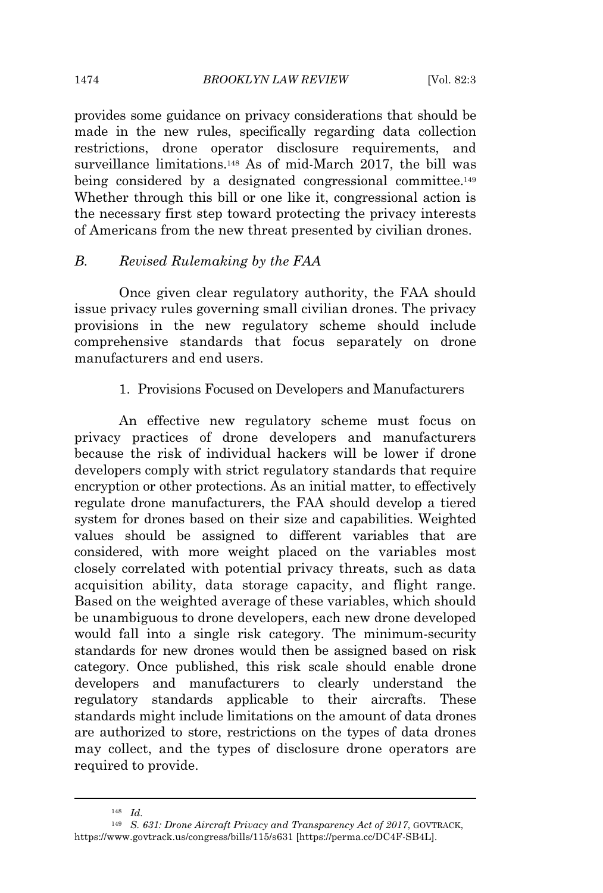#### 1474 *BROOKLYN LAW REVIEW* [Vol. 82:3

provides some guidance on privacy considerations that should be made in the new rules, specifically regarding data collection restrictions, drone operator disclosure requirements, and surveillance limitations.<sup>148</sup> As of mid-March 2017, the bill was being considered by a designated congressional committee.<sup>149</sup> Whether through this bill or one like it, congressional action is the necessary first step toward protecting the privacy interests of Americans from the new threat presented by civilian drones.

# *B. Revised Rulemaking by the FAA*

Once given clear regulatory authority, the FAA should issue privacy rules governing small civilian drones. The privacy provisions in the new regulatory scheme should include comprehensive standards that focus separately on drone manufacturers and end users.

### 1. Provisions Focused on Developers and Manufacturers

An effective new regulatory scheme must focus on privacy practices of drone developers and manufacturers because the risk of individual hackers will be lower if drone developers comply with strict regulatory standards that require encryption or other protections. As an initial matter, to effectively regulate drone manufacturers, the FAA should develop a tiered system for drones based on their size and capabilities. Weighted values should be assigned to different variables that are considered, with more weight placed on the variables most closely correlated with potential privacy threats, such as data acquisition ability, data storage capacity, and flight range. Based on the weighted average of these variables, which should be unambiguous to drone developers, each new drone developed would fall into a single risk category. The minimum-security standards for new drones would then be assigned based on risk category. Once published, this risk scale should enable drone developers and manufacturers to clearly understand the regulatory standards applicable to their aircrafts. These standards might include limitations on the amount of data drones are authorized to store, restrictions on the types of data drones may collect, and the types of disclosure drone operators are required to provide.

<sup>148</sup> *Id.*

<sup>149</sup> *S. 631: Drone Aircraft Privacy and Transparency Act of 2017*, GOVTRACK, https://www.govtrack.us/congress/bills/115/s631 [https://perma.cc/DC4F-SB4L].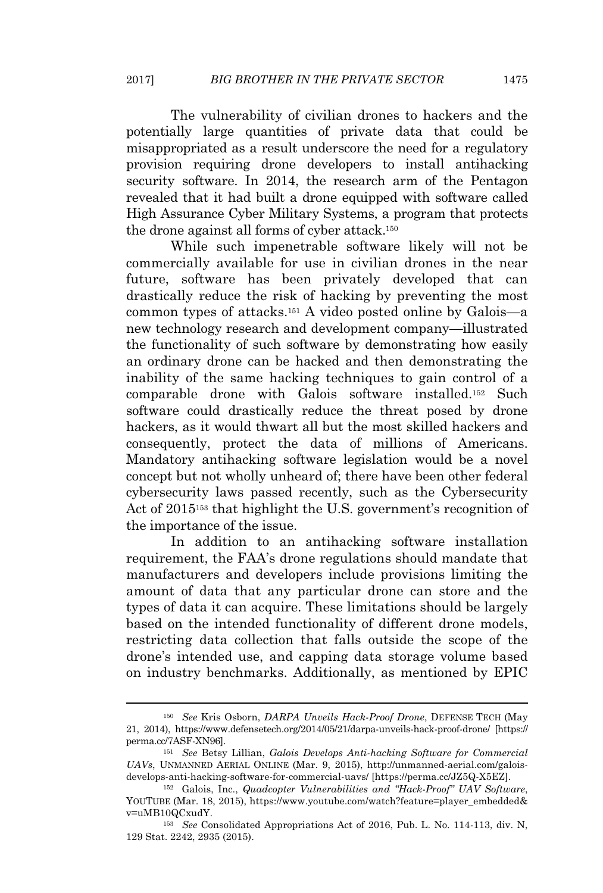The vulnerability of civilian drones to hackers and the potentially large quantities of private data that could be misappropriated as a result underscore the need for a regulatory provision requiring drone developers to install antihacking security software. In 2014, the research arm of the Pentagon revealed that it had built a drone equipped with software called High Assurance Cyber Military Systems, a program that protects the drone against all forms of cyber attack.<sup>150</sup>

While such impenetrable software likely will not be commercially available for use in civilian drones in the near future, software has been privately developed that can drastically reduce the risk of hacking by preventing the most common types of attacks.<sup>151</sup> A video posted online by Galois—a new technology research and development company—illustrated the functionality of such software by demonstrating how easily an ordinary drone can be hacked and then demonstrating the inability of the same hacking techniques to gain control of a comparable drone with Galois software installed.<sup>152</sup> Such software could drastically reduce the threat posed by drone hackers, as it would thwart all but the most skilled hackers and consequently, protect the data of millions of Americans. Mandatory antihacking software legislation would be a novel concept but not wholly unheard of; there have been other federal cybersecurity laws passed recently, such as the Cybersecurity Act of 2015<sup>153</sup> that highlight the U.S. government's recognition of the importance of the issue.

In addition to an antihacking software installation requirement, the FAA's drone regulations should mandate that manufacturers and developers include provisions limiting the amount of data that any particular drone can store and the types of data it can acquire. These limitations should be largely based on the intended functionality of different drone models, restricting data collection that falls outside the scope of the drone's intended use, and capping data storage volume based on industry benchmarks. Additionally, as mentioned by EPIC

<sup>150</sup> *See* Kris Osborn, *DARPA Unveils Hack-Proof Drone*, DEFENSE TECH (May 21, 2014), https://www.defensetech.org/2014/05/21/darpa-unveils-hack-proof-drone/ [https:// perma.cc/7ASF-XN96].

<sup>151</sup> *See* Betsy Lillian, *Galois Develops Anti-hacking Software for Commercial UAVs*, UNMANNED AERIAL ONLINE (Mar. 9, 2015), http://unmanned-aerial.com/galoisdevelops-anti-hacking-software-for-commercial-uavs/ [https://perma.cc/JZ5Q-X5EZ].

<sup>152</sup> Galois, Inc., *Quadcopter Vulnerabilities and "Hack-Proof" UAV Software*, YOUTUBE (Mar. 18, 2015), https://www.youtube.com/watch?feature=player\_embedded& v=uMB10QCxudY.

<sup>153</sup> *See* Consolidated Appropriations Act of 2016, Pub. L. No. 114-113, div. N, 129 Stat. 2242, 2935 (2015).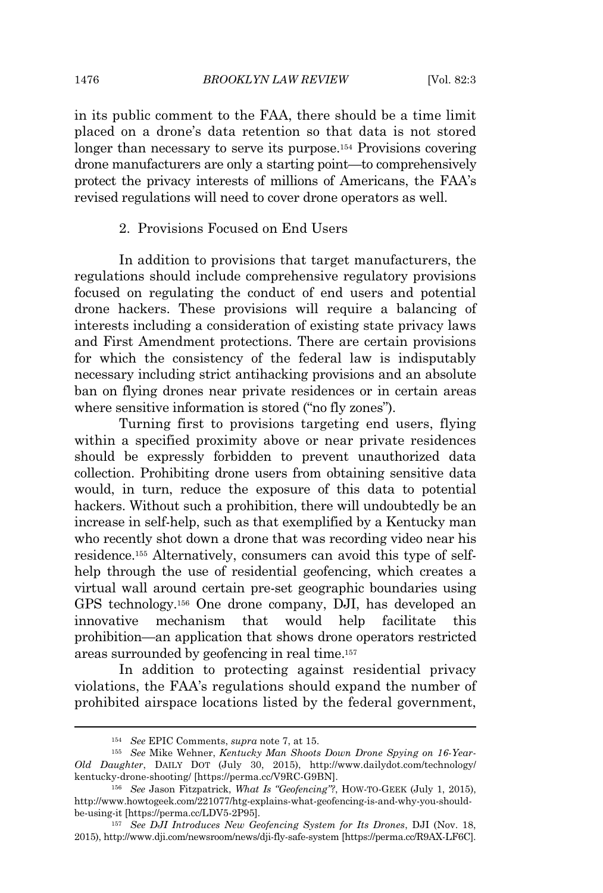in its public comment to the FAA, there should be a time limit placed on a drone's data retention so that data is not stored longer than necessary to serve its purpose.<sup>154</sup> Provisions covering drone manufacturers are only a starting point—to comprehensively protect the privacy interests of millions of Americans, the FAA's revised regulations will need to cover drone operators as well.

# 2. Provisions Focused on End Users

In addition to provisions that target manufacturers, the regulations should include comprehensive regulatory provisions focused on regulating the conduct of end users and potential drone hackers. These provisions will require a balancing of interests including a consideration of existing state privacy laws and First Amendment protections. There are certain provisions for which the consistency of the federal law is indisputably necessary including strict antihacking provisions and an absolute ban on flying drones near private residences or in certain areas where sensitive information is stored ("no fly zones").

Turning first to provisions targeting end users, flying within a specified proximity above or near private residences should be expressly forbidden to prevent unauthorized data collection. Prohibiting drone users from obtaining sensitive data would, in turn, reduce the exposure of this data to potential hackers. Without such a prohibition, there will undoubtedly be an increase in self-help, such as that exemplified by a Kentucky man who recently shot down a drone that was recording video near his residence.<sup>155</sup> Alternatively, consumers can avoid this type of selfhelp through the use of residential geofencing, which creates a virtual wall around certain pre-set geographic boundaries using GPS technology.<sup>156</sup> One drone company, DJI, has developed an innovative mechanism that would help facilitate this prohibition—an application that shows drone operators restricted areas surrounded by geofencing in real time.<sup>157</sup>

In addition to protecting against residential privacy violations, the FAA's regulations should expand the number of prohibited airspace locations listed by the federal government,

<sup>154</sup> *See* EPIC Comments, *supra* note 7, at 15.

<sup>155</sup> *See* Mike Wehner, *Kentucky Man Shoots Down Drone Spying on 16-Year-Old Daughter*, DAILY DOT (July 30, 2015), http://www.dailydot.com/technology/ kentucky-drone-shooting/ [https://perma.cc/V9RC-G9BN].

<sup>156</sup> *See* Jason Fitzpatrick, *What Is "Geofencing"?*, HOW-TO-GEEK (July 1, 2015), http://www.howtogeek.com/221077/htg-explains-what-geofencing-is-and-why-you-shouldbe-using-it [https://perma.cc/LDV5-2P95].

<sup>157</sup> *See DJI Introduces New Geofencing System for Its Drones*, DJI (Nov. 18, 2015), http://www.dji.com/newsroom/news/dji-fly-safe-system [https://perma.cc/R9AX-LF6C].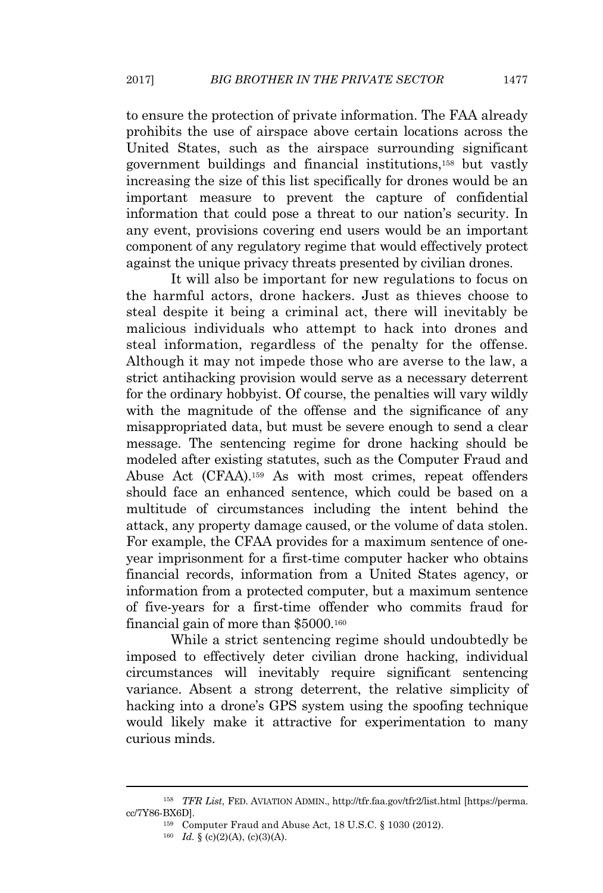to ensure the protection of private information. The FAA already prohibits the use of airspace above certain locations across the United States, such as the airspace surrounding significant government buildings and financial institutions,<sup>158</sup> but vastly increasing the size of this list specifically for drones would be an important measure to prevent the capture of confidential information that could pose a threat to our nation's security. In any event, provisions covering end users would be an important component of any regulatory regime that would effectively protect against the unique privacy threats presented by civilian drones.

It will also be important for new regulations to focus on the harmful actors, drone hackers. Just as thieves choose to steal despite it being a criminal act, there will inevitably be malicious individuals who attempt to hack into drones and steal information, regardless of the penalty for the offense. Although it may not impede those who are averse to the law, a strict antihacking provision would serve as a necessary deterrent for the ordinary hobbyist. Of course, the penalties will vary wildly with the magnitude of the offense and the significance of any misappropriated data, but must be severe enough to send a clear message. The sentencing regime for drone hacking should be modeled after existing statutes, such as the Computer Fraud and Abuse Act (CFAA).<sup>159</sup> As with most crimes, repeat offenders should face an enhanced sentence, which could be based on a multitude of circumstances including the intent behind the attack, any property damage caused, or the volume of data stolen. For example, the CFAA provides for a maximum sentence of oneyear imprisonment for a first-time computer hacker who obtains financial records, information from a United States agency, or information from a protected computer, but a maximum sentence of five-years for a first-time offender who commits fraud for financial gain of more than \$5000.<sup>160</sup>

While a strict sentencing regime should undoubtedly be imposed to effectively deter civilian drone hacking, individual circumstances will inevitably require significant sentencing variance. Absent a strong deterrent, the relative simplicity of hacking into a drone's GPS system using the spoofing technique would likely make it attractive for experimentation to many curious minds.

<sup>158</sup> *TFR List*, FED. AVIATION ADMIN., http://tfr.faa.gov/tfr2/list.html [https://perma. cc/7Y86-BX6D].

<sup>159</sup> Computer Fraud and Abuse Act, 18 U.S.C. § 1030 (2012).

<sup>&</sup>lt;sup>160</sup> *Id.* § (c)(2)(A), (c)(3)(A).